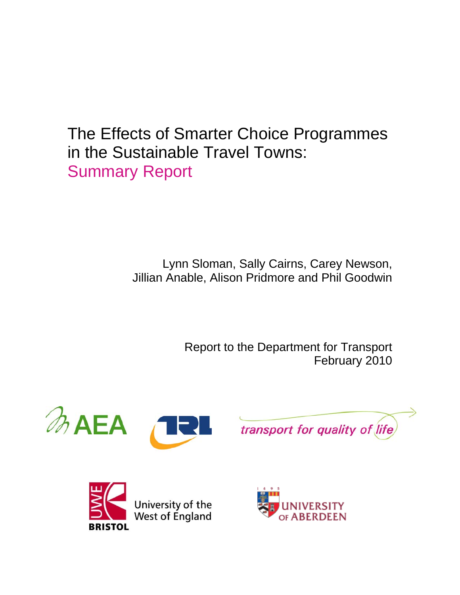The Effects of Smarter Choice Programmes in the Sustainable Travel Towns: Summary Report

> Lynn Sloman, Sally Cairns, Carey Newson, Jillian Anable, Alison Pridmore and Phil Goodwin

> > Report to the Department for Transport February 2010







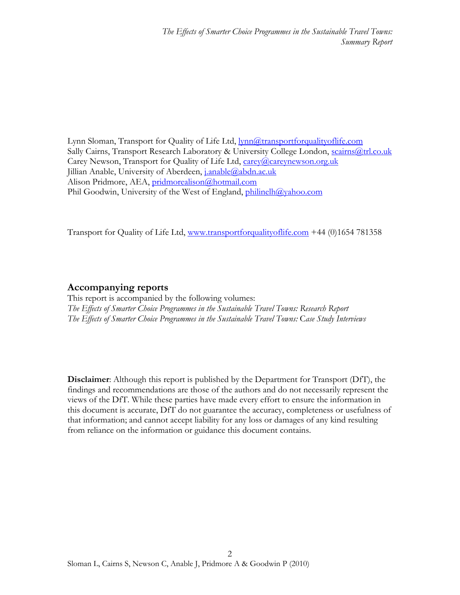Lynn Sloman, Transport for Quality of Life Ltd, **lynn@transportforqualityoflife.com** Sally Cairns, Transport Research Laboratory & University College London, [scairns@trl.co.uk](mailto:scairns@trl.co.uk) Carey Newson, Transport for Quality of Life Ltd, [carey@careynewson.org.uk](mailto:carey@careynewson.org.uk) Jillian Anable, University of Aberdeen, [j.anable@abdn.ac.uk](mailto:j.anable@abdn.ac.uk) Alison Pridmore, AEA, [pridmorealison@hotmail.com](mailto:pridmorealison@hotmail.com) Phil Goodwin, University of the West of England, [philinelh@yahoo.com](mailto:philinelh@yahoo.com)

Transport for Quality of Life Ltd, [www.transportforqualityoflife.com](http://www.transportforqualityoflife.com/) +44 (0)1654 781358

#### **Accompanying reports**

This report is accompanied by the following volumes: *The Effects of Smarter Choice Programmes in the Sustainable Travel Towns: Research Report The Effects of Smarter Choice Programmes in the Sustainable Travel Towns:* C*ase Study Interviews* 

**Disclaimer**: Although this report is published by the Department for Transport (DfT), the findings and recommendations are those of the authors and do not necessarily represent the views of the DfT. While these parties have made every effort to ensure the information in this document is accurate, DfT do not guarantee the accuracy, completeness or usefulness of that information; and cannot accept liability for any loss or damages of any kind resulting from reliance on the information or guidance this document contains.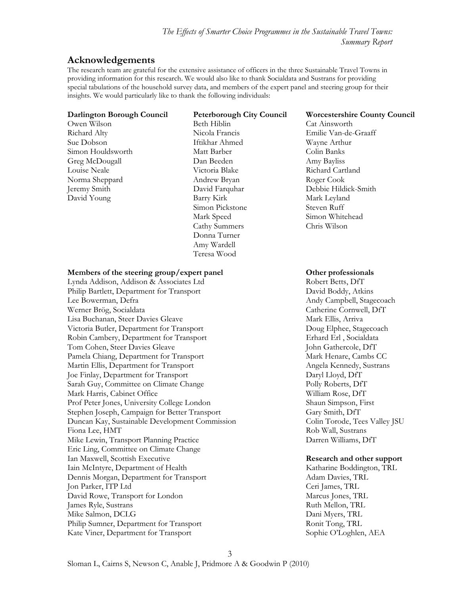### **Acknowledgements**

The research team are grateful for the extensive assistance of officers in the three Sustainable Travel Towns in providing information for this research. We would also like to thank Socialdata and Sustrans for providing special tabulations of the household survey data, and members of the expert panel and steering group for their insights. We would particularly like to thank the following individuals:

Owen Wilson Beth Hiblin Cat Ainsworth Sue Dobson Iftikhar Ahmed Wayne Arthur Simon Houldsworth Matt Barber Colin Banks Greg McDougall **Dan Beeden** Amy Bayliss Louise Neale **Nichard Cartland** Victoria Blake **Richard Cartland** Norma Sheppard Andrew Bryan Roger Cook David Young Barry Kirk Mark Leyland

Simon Pickstone Steven Ruff Mark Speed Simon Whitehead Cathy Summers Chris Wilson Donna Turner Amy Wardell Teresa Wood

#### **Darlington Borough Council Peterborough City Council Worcestershire County Council**

Richard Alty Nicola Francis Emilie Van-de-Graaff Jeremy Smith David Farquhar Debbie Hildick-Smith

#### **Members of the steering group/expert panel Other professionals**

Lynda Addison, Addison & Associates Ltd Robert Betts, DfT Philip Bartlett, Department for Transport David Boddy, Atkins Lee Bowerman, Defra **Andy Campbell**, Stagecoach Werner Brög, Socialdata Catherine Cornwell, DfT Lisa Buchanan, Steer Davies Gleave Mark Ellis, Arriva Victoria Butler, Department for Transport Doug Elphee, Stagecoach Robin Cambery, Department for Transport Erhard Erl , Socialdata Tom Cohen, Steer Davies Gleave John Gathercole, DfT Pamela Chiang, Department for Transport Mark Henare, Cambs CC Martin Ellis, Department for Transport Angela Kennedy, Sustrans Joe Finlay, Department for Transport Daryl Lloyd, DfT Sarah Guy, Committee on Climate Change Polly Roberts, DfT Mark Harris, Cabinet Office William Rose, DfT Prof Peter Jones, University College London Shaun Simpson, First Stephen Joseph, Campaign for Better Transport Gary Smith, DfT Duncan Kay, Sustainable Development Commission Colin Torode, Tees Valley JSU Fiona Lee, HMT Rob Wall, Sustrans Mike Lewin, Transport Planning Practice Darren Williams, DfT Eric Ling, Committee on Climate Change Ian Maxwell, Scottish Executive **Research and other support**  Iain McIntyre, Department of Health Katharine Boddington, TRL Dennis Morgan, Department for Transport Adam Davies, TRL Jon Parker, ITP Ltd Ceri James, TRL David Rowe, Transport for London Marcus Jones, TRL James Ryle, Sustrans Ruth Mellon, TRL Mike Salmon, DCLG Dani Myers, TRL Philip Sumner, Department for Transport Ronit Tong, TRL Kate Viner, Department for Transport Sophie O'Loghlen, AEA

3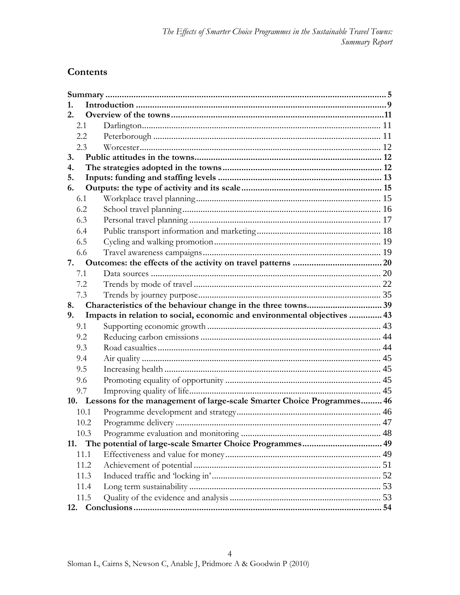# Contents

| 1.   |                                                                            |  |
|------|----------------------------------------------------------------------------|--|
| 2.   |                                                                            |  |
| 2.1  |                                                                            |  |
| 2.2  |                                                                            |  |
| 2.3  |                                                                            |  |
| 3.   |                                                                            |  |
| 4.   |                                                                            |  |
| 5.   |                                                                            |  |
| 6.   |                                                                            |  |
| 6.1  |                                                                            |  |
| 6.2  |                                                                            |  |
| 6.3  |                                                                            |  |
| 6.4  |                                                                            |  |
| 6.5  |                                                                            |  |
| 6.6  |                                                                            |  |
| 7.   |                                                                            |  |
| 7.1  |                                                                            |  |
| 7.2  |                                                                            |  |
| 7.3  |                                                                            |  |
| 8.   |                                                                            |  |
| 9.   | Impacts in relation to social, economic and environmental objectives  43   |  |
| 9.1  |                                                                            |  |
| 9.2  |                                                                            |  |
| 9.3  |                                                                            |  |
| 9.4  |                                                                            |  |
| 9.5  |                                                                            |  |
| 9.6  |                                                                            |  |
| 9.7  |                                                                            |  |
|      | 10. Lessons for the management of large-scale Smarter Choice Programmes 46 |  |
| 10.1 |                                                                            |  |
| 10.2 |                                                                            |  |
| 10.3 |                                                                            |  |
| 11.  |                                                                            |  |
| 11.1 |                                                                            |  |
| 11.2 |                                                                            |  |
| 11.3 |                                                                            |  |
| 11.4 |                                                                            |  |
| 11.5 |                                                                            |  |
| 12.  |                                                                            |  |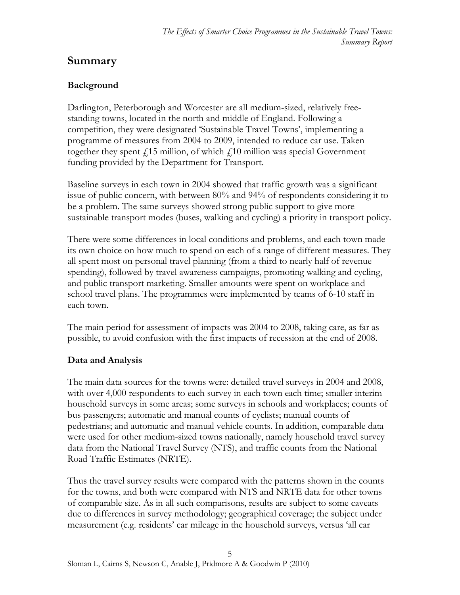# <span id="page-4-0"></span>**Summary**

# **Background**

Darlington, Peterborough and Worcester are all medium-sized, relatively freestanding towns, located in the north and middle of England. Following a competition, they were designated 'Sustainable Travel Towns', implementing a programme of measures from 2004 to 2009, intended to reduce car use. Taken together they spent  $\ell$ 15 million, of which  $\ell$ 10 million was special Government funding provided by the Department for Transport.

Baseline surveys in each town in 2004 showed that traffic growth was a significant issue of public concern, with between 80% and 94% of respondents considering it to be a problem. The same surveys showed strong public support to give more sustainable transport modes (buses, walking and cycling) a priority in transport policy.

There were some differences in local conditions and problems, and each town made its own choice on how much to spend on each of a range of different measures. They all spent most on personal travel planning (from a third to nearly half of revenue spending), followed by travel awareness campaigns, promoting walking and cycling, and public transport marketing. Smaller amounts were spent on workplace and school travel plans. The programmes were implemented by teams of 6-10 staff in each town.

The main period for assessment of impacts was 2004 to 2008, taking care, as far as possible, to avoid confusion with the first impacts of recession at the end of 2008.

### **Data and Analysis**

The main data sources for the towns were: detailed travel surveys in 2004 and 2008, with over 4,000 respondents to each survey in each town each time; smaller interim household surveys in some areas; some surveys in schools and workplaces; counts of bus passengers; automatic and manual counts of cyclists; manual counts of pedestrians; and automatic and manual vehicle counts. In addition, comparable data were used for other medium-sized towns nationally, namely household travel survey data from the National Travel Survey (NTS), and traffic counts from the National Road Traffic Estimates (NRTE).

Thus the travel survey results were compared with the patterns shown in the counts for the towns, and both were compared with NTS and NRTE data for other towns of comparable size. As in all such comparisons, results are subject to some caveats due to differences in survey methodology; geographical coverage; the subject under measurement (e.g. residents' car mileage in the household surveys, versus 'all car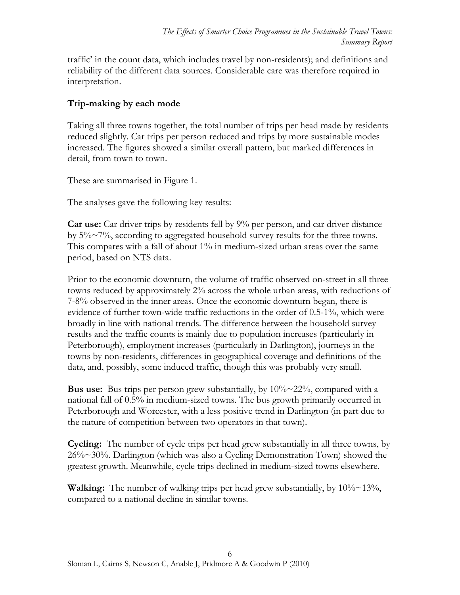traffic' in the count data, which includes travel by non-residents); and definitions and reliability of the different data sources. Considerable care was therefore required in interpretation.

### **Trip-making by each mode**

Taking all three towns together, the total number of trips per head made by residents reduced slightly. Car trips per person reduced and trips by more sustainable modes increased. The figures showed a similar overall pattern, but marked differences in detail, from town to town.

These are summarised in Figure 1.

The analyses gave the following key results:

**Car use:** Car driver trips by residents fell by 9% per person, and car driver distance by  $5\% \sim 7\%$ , according to aggregated household survey results for the three towns. This compares with a fall of about 1% in medium-sized urban areas over the same period, based on NTS data.

Prior to the economic downturn, the volume of traffic observed on-street in all three towns reduced by approximately 2% across the whole urban areas, with reductions of 7-8% observed in the inner areas. Once the economic downturn began, there is evidence of further town-wide traffic reductions in the order of 0.5-1%, which were broadly in line with national trends. The difference between the household survey results and the traffic counts is mainly due to population increases (particularly in Peterborough), employment increases (particularly in Darlington), journeys in the towns by non-residents, differences in geographical coverage and definitions of the data, and, possibly, some induced traffic, though this was probably very small.

**Bus use:** Bus trips per person grew substantially, by 10%~22%, compared with a national fall of 0.5% in medium-sized towns. The bus growth primarily occurred in Peterborough and Worcester, with a less positive trend in Darlington (in part due to the nature of competition between two operators in that town).

**Cycling:** The number of cycle trips per head grew substantially in all three towns, by 26%~30%. Darlington (which was also a Cycling Demonstration Town) showed the greatest growth. Meanwhile, cycle trips declined in medium-sized towns elsewhere.

**Walking:** The number of walking trips per head grew substantially, by 10%~13%, compared to a national decline in similar towns.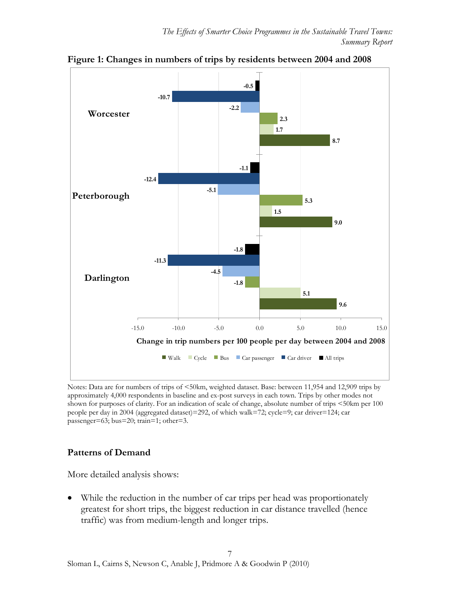

**Figure 1: Changes in numbers of trips by residents between 2004 and 2008** 

Notes: Data are for numbers of trips of <50km, weighted dataset. Base: between 11,954 and 12,909 trips by approximately 4,000 respondents in baseline and ex-post surveys in each town. Trips by other modes not shown for purposes of clarity. For an indication of scale of change, absolute number of trips <50km per 100 people per day in 2004 (aggregated dataset)=292, of which walk=72; cycle=9; car driver=124; car passenger=63; bus=20; train=1; other=3.

### **Patterns of Demand**

More detailed analysis shows:

 While the reduction in the number of car trips per head was proportionately greatest for short trips, the biggest reduction in car distance travelled (hence traffic) was from medium-length and longer trips.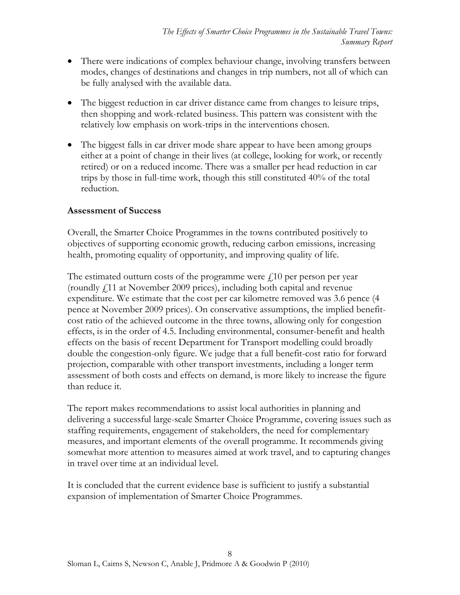- There were indications of complex behaviour change, involving transfers between modes, changes of destinations and changes in trip numbers, not all of which can be fully analysed with the available data.
- The biggest reduction in car driver distance came from changes to leisure trips, then shopping and work-related business. This pattern was consistent with the relatively low emphasis on work-trips in the interventions chosen.
- The biggest falls in car driver mode share appear to have been among groups either at a point of change in their lives (at college, looking for work, or recently retired) or on a reduced income. There was a smaller per head reduction in car trips by those in full-time work, though this still constituted 40% of the total reduction.

### **Assessment of Success**

Overall, the Smarter Choice Programmes in the towns contributed positively to objectives of supporting economic growth, reducing carbon emissions, increasing health, promoting equality of opportunity, and improving quality of life.

The estimated outturn costs of the programme were  $f<sub>10</sub>$  per person per year (roundly £11 at November 2009 prices), including both capital and revenue expenditure. We estimate that the cost per car kilometre removed was 3.6 pence (4 pence at November 2009 prices). On conservative assumptions, the implied benefitcost ratio of the achieved outcome in the three towns, allowing only for congestion effects, is in the order of 4.5. Including environmental, consumer-benefit and health effects on the basis of recent Department for Transport modelling could broadly double the congestion-only figure. We judge that a full benefit-cost ratio for forward projection, comparable with other transport investments, including a longer term assessment of both costs and effects on demand, is more likely to increase the figure than reduce it.

The report makes recommendations to assist local authorities in planning and delivering a successful large-scale Smarter Choice Programme, covering issues such as staffing requirements, engagement of stakeholders, the need for complementary measures, and important elements of the overall programme. It recommends giving somewhat more attention to measures aimed at work travel, and to capturing changes in travel over time at an individual level.

It is concluded that the current evidence base is sufficient to justify a substantial expansion of implementation of Smarter Choice Programmes.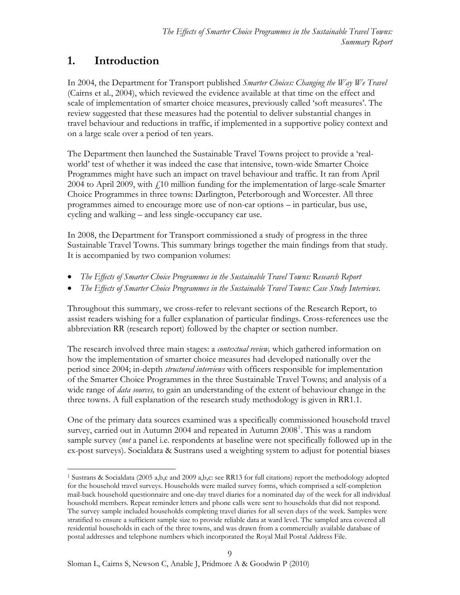# <span id="page-8-0"></span>**1. Introduction**

In 2004, the Department for Transport published *Smarter Choices: Changing the Way We Travel* (Cairns et al., 2004), which reviewed the evidence available at that time on the effect and scale of implementation of smarter choice measures, previously called 'soft measures'. The review suggested that these measures had the potential to deliver substantial changes in travel behaviour and reductions in traffic, if implemented in a supportive policy context and on a large scale over a period of ten years.

The Department then launched the Sustainable Travel Towns project to provide a 'realworld' test of whether it was indeed the case that intensive, town-wide Smarter Choice Programmes might have such an impact on travel behaviour and traffic. It ran from April 2004 to April 2009, with  $\dot{\psi}$  10 million funding for the implementation of large-scale Smarter Choice Programmes in three towns: Darlington, Peterborough and Worcester. All three programmes aimed to encourage more use of non-car options – in particular, bus use, cycling and walking – and less single-occupancy car use.

In 2008, the Department for Transport commissioned a study of progress in the three Sustainable Travel Towns. This summary brings together the main findings from that study. It is accompanied by two companion volumes:

- *The Effects of Smarter Choice Programmes in the Sustainable Travel Towns:* R*esearch Report*
- *The Effects of Smarter Choice Programmes in the Sustainable Travel Towns: Case Study Interviews*.

Throughout this summary, we cross-refer to relevant sections of the Research Report, to assist readers wishing for a fuller explanation of particular findings. Cross-references use the abbreviation RR (research report) followed by the chapter or section number.

The research involved three main stages: a *contextual review,* which gathered information on how the implementation of smarter choice measures had developed nationally over the period since 2004; in-depth *structured interviews* with officers responsible for implementation of the Smarter Choice Programmes in the three Sustainable Travel Towns; and analysis of a wide range of *data sources,* to gain an understanding of the extent of behaviour change in the three towns. A full explanation of the research study methodology is given in RR1.1.

One of the primary data sources examined was a specifically commissioned household travel survey, carried out in Autumn 2004 and repeated in Autumn  $2008<sup>1</sup>$  $2008<sup>1</sup>$  $2008<sup>1</sup>$ . This was a random sample survey (*not* a panel i.e. respondents at baseline were not specifically followed up in the ex-post surveys). Socialdata & Sustrans used a weighting system to adjust for potential biases

<span id="page-8-1"></span> $\overline{a}$ 1 Sustrans & Socialdata (2005 a,b,c and 2009 a,b,c: see RR13 for full citations) report the methodology adopted for the household travel surveys. Households were mailed survey forms, which comprised a self-completion mail-back household questionnaire and one-day travel diaries for a nominated day of the week for all individual household members. Repeat reminder letters and phone calls were sent to households that did not respond. The survey sample included households completing travel diaries for all seven days of the week. Samples were stratified to ensure a sufficient sample size to provide reliable data at ward level. The sampled area covered all residential households in each of the three towns, and was drawn from a commercially available database of postal addresses and telephone numbers which incorporated the Royal Mail Postal Address File.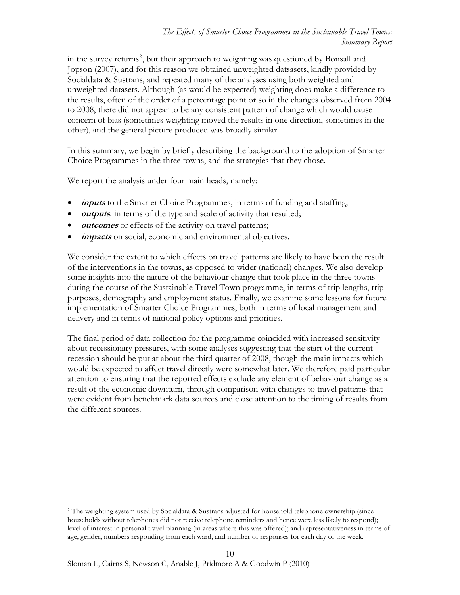to 2008, there did not appear to be any consistent pattern of change which would cause other), and the general picture produced was broadly similar. in the survey returns<sup>[2](#page-9-0)</sup>, but their approach to weighting was questioned by Bonsall and Jopson (2007), and for this reason we obtained unweighted datsasets, kindly provided by Socialdata & Sustrans, and repeated many of the analyses using both weighted and unweighted datasets. Although (as would be expected) weighting does make a difference to the results, often of the order of a percentage point or so in the changes observed from 2004 concern of bias (sometimes weighting moved the results in one direction, sometimes in the

In this summary, we begin by briefly describing the background to the adoption of Smarter Choice Programmes in the three towns, and the strategies that they chose.

We report the analysis under four main heads, namely:

- *inputs* to the Smarter Choice Programmes, in terms of funding and staffing;
- **outputs***,* in terms of the type and scale of activity that resulted;
- **•** *outcomes* or effects of the activity on travel patterns;
- **impacts** on social, economic and environmental objectives.

We consider the extent to which effects on travel patterns are likely to have been the result of the interventions in the towns, as opposed to wider (national) changes. We also develop some insights into the nature of the behaviour change that took place in the three towns during the course of the Sustainable Travel Town programme, in terms of trip lengths, trip purposes, demography and employment status. Finally, we examine some lessons for future implementation of Smarter Choice Programmes, both in terms of local management and delivery and in terms of national policy options and priorities.

The final period of data collection for the programme coincided with increased sensitivity about recessionary pressures, with some analyses suggesting that the start of the current recession should be put at about the third quarter of 2008, though the main impacts which would be expected to affect travel directly were somewhat later. We therefore paid particular attention to ensuring that the reported effects exclude any element of behaviour change as a result of the economic downturn, through comparison with changes to travel patterns that were evident from benchmark data sources and close attention to the timing of results from the different sources.

<span id="page-9-0"></span><sup>2</sup> The weighting system used by Socialdata & Sustrans adjusted for household telephone ownership (since households without telephones did not receive telephone reminders and hence were less likely to respond); level of interest in personal travel planning (in areas where this was offered); and representativeness in terms of age, gender, numbers responding from each ward, and number of responses for each day of the week.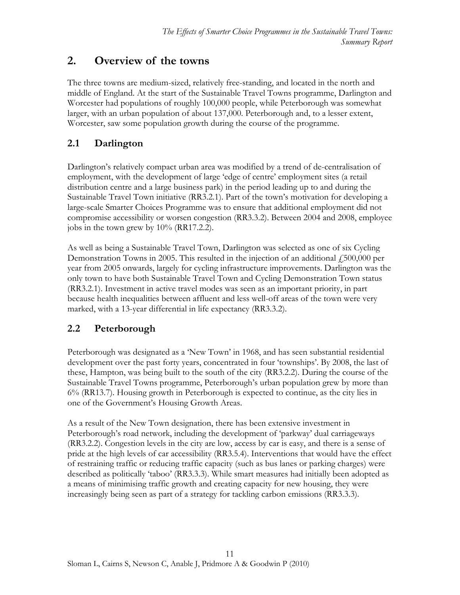# <span id="page-10-0"></span>**2. Overview of the towns**

The three towns are medium-sized, relatively free-standing, and located in the north and middle of England. At the start of the Sustainable Travel Towns programme, Darlington and Worcester had populations of roughly 100,000 people, while Peterborough was somewhat larger, with an urban population of about 137,000. Peterborough and, to a lesser extent, Worcester, saw some population growth during the course of the programme.

# <span id="page-10-1"></span>**2.1 Darlington**

Darlington's relatively compact urban area was modified by a trend of de-centralisation of employment, with the development of large 'edge of centre' employment sites (a retail distribution centre and a large business park) in the period leading up to and during the Sustainable Travel Town initiative (RR3.2.1). Part of the town's motivation for developing a large-scale Smarter Choices Programme was to ensure that additional employment did not compromise accessibility or worsen congestion (RR3.3.2). Between 2004 and 2008, employee jobs in the town grew by 10% (RR17.2.2).

As well as being a Sustainable Travel Town, Darlington was selected as one of six Cycling Demonstration Towns in 2005. This resulted in the injection of an additional  $\dot{\epsilon}$  500,000 per year from 2005 onwards, largely for cycling infrastructure improvements. Darlington was the only town to have both Sustainable Travel Town and Cycling Demonstration Town status (RR3.2.1). Investment in active travel modes was seen as an important priority, in part because health inequalities between affluent and less well-off areas of the town were very marked, with a 13-year differential in life expectancy (RR3.3.2).

# <span id="page-10-2"></span>**2.2 Peterborough**

Peterborough was designated as a 'New Town' in 1968, and has seen substantial residential development over the past forty years, concentrated in four 'townships'. By 2008, the last of these, Hampton, was being built to the south of the city (RR3.2.2). During the course of the Sustainable Travel Towns programme, Peterborough's urban population grew by more than 6% (RR13.7). Housing growth in Peterborough is expected to continue, as the city lies in one of the Government's Housing Growth Areas.

As a result of the New Town designation, there has been extensive investment in Peterborough's road network, including the development of 'parkway' dual carriageways (RR3.2.2). Congestion levels in the city are low, access by car is easy, and there is a sense of pride at the high levels of car accessibility (RR3.5.4). Interventions that would have the effect of restraining traffic or reducing traffic capacity (such as bus lanes or parking charges) were described as politically 'taboo' (RR3.3.3). While smart measures had initially been adopted as a means of minimising traffic growth and creating capacity for new housing, they were increasingly being seen as part of a strategy for tackling carbon emissions (RR3.3.3).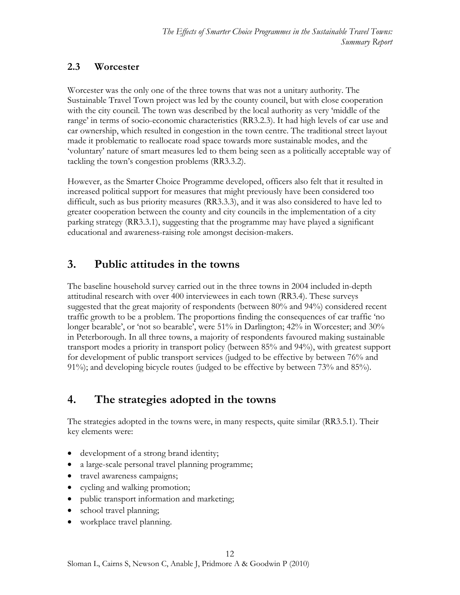# <span id="page-11-0"></span>**2.3 Worcester**

Worcester was the only one of the three towns that was not a unitary authority. The Sustainable Travel Town project was led by the county council, but with close cooperation with the city council. The town was described by the local authority as very 'middle of the range' in terms of socio-economic characteristics (RR3.2.3). It had high levels of car use and car ownership, which resulted in congestion in the town centre. The traditional street layout made it problematic to reallocate road space towards more sustainable modes, and the 'voluntary' nature of smart measures led to them being seen as a politically acceptable way of tackling the town's congestion problems (RR3.3.2).

However, as the Smarter Choice Programme developed, officers also felt that it resulted in increased political support for measures that might previously have been considered too difficult, such as bus priority measures (RR3.3.3), and it was also considered to have led to greater cooperation between the county and city councils in the implementation of a city parking strategy (RR3.3.1), suggesting that the programme may have played a significant educational and awareness-raising role amongst decision-makers.

# <span id="page-11-1"></span>**3. Public attitudes in the towns**

The baseline household survey carried out in the three towns in 2004 included in-depth attitudinal research with over 400 interviewees in each town (RR3.4). These surveys suggested that the great majority of respondents (between 80% and 94%) considered recent traffic growth to be a problem. The proportions finding the consequences of car traffic 'no longer bearable', or 'not so bearable', were 51% in Darlington; 42% in Worcester; and 30% in Peterborough. In all three towns, a majority of respondents favoured making sustainable transport modes a priority in transport policy (between 85% and 94%), with greatest support for development of public transport services (judged to be effective by between 76% and 91%); and developing bicycle routes (judged to be effective by between 73% and 85%).

# <span id="page-11-2"></span>**4. The strategies adopted in the towns**

The strategies adopted in the towns were, in many respects, quite similar (RR3.5.1). Their key elements were:

- development of a strong brand identity;
- a large-scale personal travel planning programme;
- travel awareness campaigns;
- cycling and walking promotion;
- public transport information and marketing;
- school travel planning;
- workplace travel planning.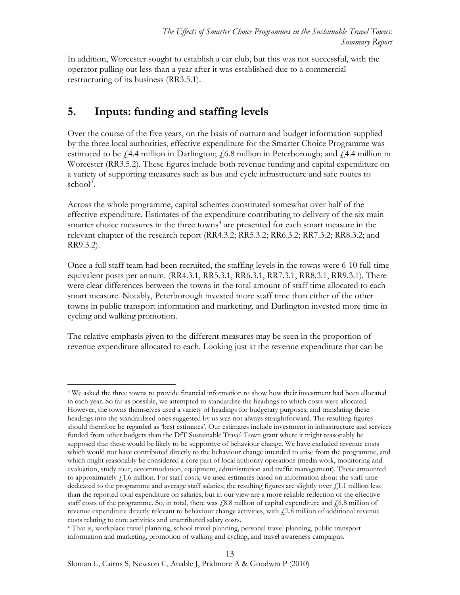In addition, Worcester sought to establish a car club, but this was not successful, with the operator pulling out less than a year after it was established due to a commercial restructuring of its business (RR3.5.1).

# <span id="page-12-0"></span>**5. Inputs: funding and staffing levels**

Over the course of the five years, on the basis of outturn and budget information supplied by the three local authorities, effective expenditure for the Smarter Choice Programme was estimated to be  $\dot{f}$ , 4.4 million in Darlington;  $\dot{f}$ , 6.8 million in Peterborough; and  $\dot{f}$ , 4.4 million in Worcester (RR3.5.2). These figures include both revenue funding and capital expenditure on a variety of supporting measures such as bus and cycle infrastructure and safe routes to  $\mathrm{school}^3$  $\mathrm{school}^3$ .

Across the whole programme, capital schemes constituted somewhat over half of the effective expenditure. Estimates of the expenditure contributing to delivery of the six main smarter choice measures in the three towns<sup>[4](#page-12-2)</sup> are presented for each smart measure in the relevant chapter of the research report (RR4.3.2; RR5.3.2; RR6.3.2; RR7.3.2; RR8.3.2; and RR9.3.2).

Once a full staff team had been recruited, the staffing levels in the towns were 6-10 full-time equivalent posts per annum. (RR4.3.1, RR5.3.1, RR6.3.1, RR7.3.1, RR8.3.1, RR9.3.1). There were clear differences between the towns in the total amount of staff time allocated to each smart measure. Notably, Peterborough invested more staff time than either of the other towns in public transport information and marketing, and Darlington invested more time in cycling and walking promotion.

The relative emphasis given to the different measures may be seen in the proportion of revenue expenditure allocated to each. Looking just at the revenue expenditure that can be

<span id="page-12-1"></span> $\overline{a}$ <sup>3</sup> We asked the three towns to provide financial information to show how their investment had been allocated in each year. So far as possible, we attempted to standardise the headings to which costs were allocated. However, the towns themselves used a variety of headings for budgetary purposes, and translating these headings into the standardised ones suggested by us was not always straightforward. The resulting figures should therefore be regarded as 'best estimates'. Our estimates include investment in infrastructure and services funded from other budgets than the DfT Sustainable Travel Town grant where it might reasonably be supposed that these would be likely to be supportive of behaviour change. We have excluded revenue costs which would not have contributed directly to the behaviour change intended to arise from the programme, and which might reasonably be considered a core part of local authority operations (media work, monitoring and evaluation, study tour, accommodation, equipment, administration and traffic management). These amounted to approximately £1.6 million. For staff costs, we used estimates based on information about the staff time dedicated to the programme and average staff salaries; the resulting figures are slightly over  $f<sub>i</sub>1.1$  million less than the reported total expenditure on salaries, but in our view are a more reliable reflection of the effective staff costs of the programme. So, in total, there was  $\frac{1}{6}8.8$  million of capital expenditure and  $\frac{1}{6}6.8$  million of revenue expenditure directly relevant to behaviour change activities, with  $f2.8$  million of additional revenue costs relating to core activities and unattributed salary costs.

<span id="page-12-2"></span><sup>4</sup> That is, workplace travel planning, school travel planning, personal travel planning, public transport information and marketing, promotion of walking and cycling, and travel awareness campaigns.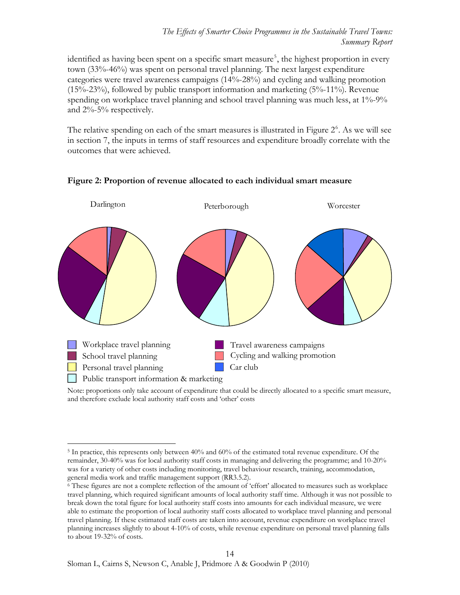identified as having been spent on a specific smart measure<sup>[5](#page-13-0)</sup>, the highest proportion in every town (33%-46%) was spent on personal travel planning. The next largest expenditure categories were travel awareness campaigns (14%-28%) and cycling and walking promotion (15%-23%), followed by public transport information and marketing (5%-11%). Revenue spending on workplace travel planning and school travel planning was much less, at 1%-9% and 2%-5% respectively.

The relative spending on each of the smart measures is illustrated in Figure  $2<sup>6</sup>$  $2<sup>6</sup>$  $2<sup>6</sup>$ . As we will see in section 7, the inputs in terms of staff resources and expenditure broadly correlate with the outcomes that were achieved.



### **Figure 2: Proportion of revenue allocated to each individual smart measure**

Note: proportions only take account of expenditure that could be directly allocated to a specific smart measure, and therefore exclude local authority staff costs and 'other' costs

<span id="page-13-0"></span> $\overline{a}$ 5 In practice, this represents only between 40% and 60% of the estimated total revenue expenditure. Of the remainder, 30-40% was for local authority staff costs in managing and delivering the programme; and 10-20% was for a variety of other costs including monitoring, travel behaviour research, training, accommodation, general media work and traffic management support (RR3.5.2).<br><sup>6</sup> These figures are not a complete reflection of the amount of 'effort' allocated to measures such as workplace

<span id="page-13-1"></span>travel planning, which required significant amounts of local authority staff time. Although it was not possible to break down the total figure for local authority staff costs into amounts for each individual measure, we were able to estimate the proportion of local authority staff costs allocated to workplace travel planning and personal travel planning. If these estimated staff costs are taken into account, revenue expenditure on workplace travel planning increases slightly to about 4-10% of costs, while revenue expenditure on personal travel planning falls to about 19-32% of costs.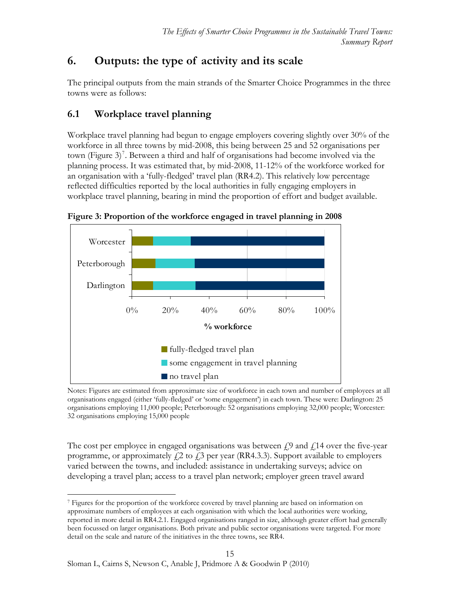# <span id="page-14-0"></span>**6. Outputs: the type of activity and its scale**

The principal outputs from the main strands of the Smarter Choice Programmes in the three towns were as follows:

# <span id="page-14-1"></span>**6.1 Workplace travel planning**

Workplace travel planning had begun to engage employers covering slightly over 30% of the workforce in all three towns by mid-2008, this being between 25 and 52 organisations per town (Figure 3)<sup>[7](#page-14-2)</sup>. Between a third and half of organisations had become involved via the planning process. It was estimated that, by mid-2008, 11-12% of the workforce worked for an organisation with a 'fully-fledged' travel plan (RR4.2). This relatively low percentage reflected difficulties reported by the local authorities in fully engaging employers in workplace travel planning, bearing in mind the proportion of effort and budget available.



**Figure 3: Proportion of the workforce engaged in travel planning in 2008** 

Notes: Figures are estimated from approximate size of workforce in each town and number of employees at all organisations engaged (either 'fully-fledged' or 'some engagement') in each town. These were: Darlington: 25 organisations employing 11,000 people; Peterborough: 52 organisations employing 32,000 people; Worcester: 32 organisations employing 15,000 people

The cost per employee in engaged organisations was between  $\mathcal{L}^0$  and  $\mathcal{L}^1$  over the five-year programme, or approximately  $\zeta$  to  $\zeta$  per year (RR4.3.3). Support available to employers varied between the towns, and included: assistance in undertaking surveys; advice on developing a travel plan; access to a travel plan network; employer green travel award

<span id="page-14-2"></span> $\overline{a}$ 7 Figures for the proportion of the workforce covered by travel planning are based on information on approximate numbers of employees at each organisation with which the local authorities were working, reported in more detail in RR4.2.1. Engaged organisations ranged in size, although greater effort had generally been focussed on larger organisations. Both private and public sector organisations were targeted. For more detail on the scale and nature of the initiatives in the three towns, see RR4.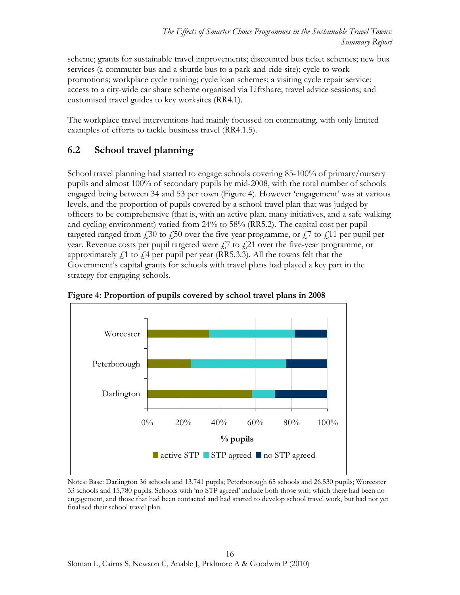scheme; grants for sustainable travel improvements; discounted bus ticket schemes; new bus services (a commuter bus and a shuttle bus to a park-and-ride site); cycle to work promotions; workplace cycle training; cycle loan schemes; a visiting cycle repair service; access to a city-wide car share scheme organised via Liftshare; travel advice sessions; and customised travel guides to key worksites (RR4.1).

The workplace travel interventions had mainly focussed on commuting, with only limited examples of efforts to tackle business travel (RR4.1.5).

# <span id="page-15-0"></span>**6.2 School travel planning**

School travel planning had started to engage schools covering 85-100% of primary/nursery pupils and almost 100% of secondary pupils by mid-2008, with the total number of schools engaged being between 34 and 53 per town (Figure 4). However 'engagement' was at various levels, and the proportion of pupils covered by a school travel plan that was judged by officers to be comprehensive (that is, with an active plan, many initiatives, and a safe walking and cycling environment) varied from 24% to 58% (RR5.2). The capital cost per pupil targeted ranged from  $\ell$  30 to  $\ell$  50 over the five-year programme, or  $\ell$  7 to  $\ell$  11 per pupil per year. Revenue costs per pupil targeted were  $f$ , to  $f$ , 21 over the five-year programme, or approximately  $f_1$  to  $f_1$  per pupil per year (RR5.3.3). All the towns felt that the Government's capital grants for schools with travel plans had played a key part in the strategy for engaging schools.





Notes: Base: Darlington 36 schools and 13,741 pupils; Peterborough 65 schools and 26,530 pupils; Worcester 33 schools and 15,780 pupils. Schools with 'no STP agreed' include both those with which there had been no engagement, and those that had been contacted and had started to develop school travel work, but had not yet finalised their school travel plan.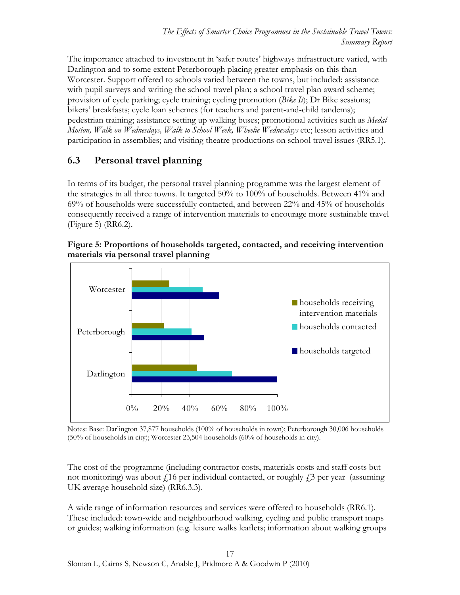The importance attached to investment in 'safer routes' highways infrastructure varied, with Darlington and to some extent Peterborough placing greater emphasis on this than Worcester. Support offered to schools varied between the towns, but included: assistance with pupil surveys and writing the school travel plan; a school travel plan award scheme; provision of cycle parking; cycle training; cycling promotion (*Bike It*); Dr Bike sessions; bikers' breakfasts; cycle loan schemes (for teachers and parent-and-child tandems); pedestrian training; assistance setting up walking buses; promotional activities such as *Medal Motion, Walk on Wednesdays, Walk to School Week, Wheelie Wednesdays* etc; lesson activities and participation in assemblies; and visiting theatre productions on school travel issues (RR5.1).

# <span id="page-16-0"></span>**6.3 Personal travel planning**

In terms of its budget, the personal travel planning programme was the largest element of the strategies in all three towns. It targeted 50% to 100% of households. Between 41% and 69% of households were successfully contacted, and between 22% and 45% of households consequently received a range of intervention materials to encourage more sustainable travel (Figure 5) (RR6.2).





Notes: Base: Darlington 37,877 households (100% of households in town); Peterborough 30,006 households (50% of households in city); Worcester 23,504 households (60% of households in city).

The cost of the programme (including contractor costs, materials costs and staff costs but not monitoring) was about  $f$ 16 per individual contacted, or roughly  $f$ 3 per year (assuming UK average household size) (RR6.3.3).

A wide range of information resources and services were offered to households (RR6.1). These included: town-wide and neighbourhood walking, cycling and public transport maps or guides; walking information (e.g. leisure walks leaflets; information about walking groups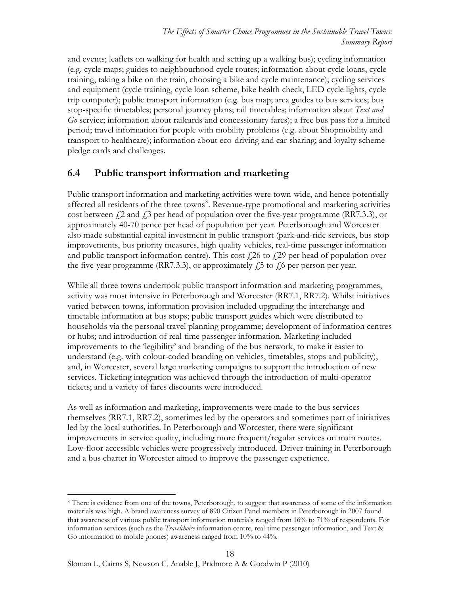and events; leaflets on walking for health and setting up a walking bus); cycling information (e.g. cycle maps; guides to neighbourhood cycle routes; information about cycle loans, cycle training, taking a bike on the train, choosing a bike and cycle maintenance); cycling services and equipment (cycle training, cycle loan scheme, bike health check, LED cycle lights, cycle trip computer); public transport information (e.g. bus map; area guides to bus services; bus stop-specific timetables; personal journey plans; rail timetables; information about *Text and Go* service; information about railcards and concessionary fares); a free bus pass for a limited period; travel information for people with mobility problems (e.g. about Shopmobility and transport to healthcare); information about eco-driving and car-sharing; and loyalty scheme pledge cards and challenges.

# <span id="page-17-0"></span>**6.4 Public transport information and marketing**

Public transport information and marketing activities were town-wide, and hence potentially affected all residents of the three towns<sup>[8](#page-17-1)</sup>. Revenue-type promotional and marketing activities cost between  $f_1$ 2 and  $f_2$ 3 per head of population over the five-year programme (RR7.3.3), or approximately 40-70 pence per head of population per year. Peterborough and Worcester also made substantial capital investment in public transport (park-and-ride services, bus stop improvements, bus priority measures, high quality vehicles, real-time passenger information and public transport information centre). This cost  $\ell$  26 to  $\ell$  29 per head of population over the five-year programme (RR7.3.3), or approximately  $f_1$ 5 to  $f_1$ 6 per person per year.

While all three towns undertook public transport information and marketing programmes, activity was most intensive in Peterborough and Worcester (RR7.1, RR7.2). Whilst initiatives varied between towns, information provision included upgrading the interchange and timetable information at bus stops; public transport guides which were distributed to households via the personal travel planning programme; development of information centres or hubs; and introduction of real-time passenger information. Marketing included improvements to the 'legibility' and branding of the bus network, to make it easier to understand (e.g. with colour-coded branding on vehicles, timetables, stops and publicity), and, in Worcester, several large marketing campaigns to support the introduction of new services. Ticketing integration was achieved through the introduction of multi-operator tickets; and a variety of fares discounts were introduced.

As well as information and marketing, improvements were made to the bus services themselves (RR7.1, RR7.2), sometimes led by the operators and sometimes part of initiatives led by the local authorities. In Peterborough and Worcester, there were significant improvements in service quality, including more frequent/regular services on main routes. Low-floor accessible vehicles were progressively introduced. Driver training in Peterborough and a bus charter in Worcester aimed to improve the passenger experience.

<span id="page-17-1"></span> $\overline{a}$ 8 There is evidence from one of the towns, Peterborough, to suggest that awareness of some of the information materials was high. A brand awareness survey of 890 Citizen Panel members in Peterborough in 2007 found that awareness of various public transport information materials ranged from 16% to 71% of respondents. For information services (such as the *Travelchoice* information centre, real-time passenger information, and Text & Go information to mobile phones) awareness ranged from 10% to 44%.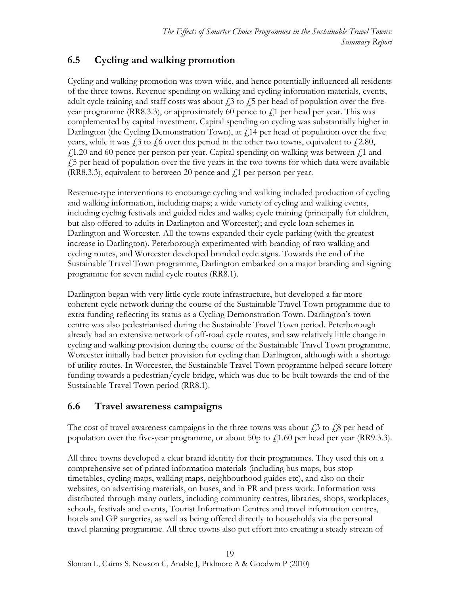# **6.5 Cycling and walking promotion**

Cycling and walking promotion was town-wide, and hence potentially influenced all residents of the three towns. Revenue spending on walking and cycling information materials, events, adult cycle training and staff costs was about  $\ell$  to  $\ell$  5 per head of population over the fiveyear programme (RR8.3.3), or approximately 60 pence to  $f_1$  per head per year. This was complemented by capital investment. Capital spending on cycling was substantially higher in Darlington (the Cycling Demonstration Town), at  $\ell$  14 per head of population over the five years, while it was  $\dot{\ell}$  to  $\dot{\ell}$  to  $\dot{\ell}$  over this period in the other two towns, equivalent to  $\dot{\ell}$  2.80,  $f<sub>1</sub>1.20$  and 60 pence per person per year. Capital spending on walking was between  $f<sub>1</sub>1$  and  $\frac{1}{5}$  per head of population over the five years in the two towns for which data were available (RR8.3.3), equivalent to between 20 pence and  $f$  per person per year.

Revenue-type interventions to encourage cycling and walking included production of cycling and walking information, including maps; a wide variety of cycling and walking events, including cycling festivals and guided rides and walks; cycle training (principally for children, but also offered to adults in Darlington and Worcester); and cycle loan schemes in Darlington and Worcester. All the towns expanded their cycle parking (with the greatest increase in Darlington). Peterborough experimented with branding of two walking and cycling routes, and Worcester developed branded cycle signs. Towards the end of the Sustainable Travel Town programme, Darlington embarked on a major branding and signing programme for seven radial cycle routes (RR8.1).

Darlington began with very little cycle route infrastructure, but developed a far more coherent cycle network during the course of the Sustainable Travel Town programme due to extra funding reflecting its status as a Cycling Demonstration Town. Darlington's town centre was also pedestrianised during the Sustainable Travel Town period. Peterborough already had an extensive network of off-road cycle routes, and saw relatively little change in cycling and walking provision during the course of the Sustainable Travel Town programme. Worcester initially had better provision for cycling than Darlington, although with a shortage of utility routes. In Worcester, the Sustainable Travel Town programme helped secure lottery funding towards a pedestrian/cycle bridge, which was due to be built towards the end of the Sustainable Travel Town period (RR8.1).

# <span id="page-18-1"></span>**6.6 Travel awareness campaigns**

The cost of travel awareness campaigns in the three towns was about  $\hat{f}$  to  $\hat{f}$  to  $\hat{f}$  per head of population over the five-year programme, or about 50p to  $\ell$ 1.60 per head per year (RR9.3.3).

<span id="page-18-0"></span>All three towns developed a clear brand identity for their programmes. They used this on a comprehensive set of printed information materials (including bus maps, bus stop timetables, cycling maps, walking maps, neighbourhood guides etc), and also on their websites, on advertising materials, on buses, and in PR and press work. Information was distributed through many outlets, including community centres, libraries, shops, workplaces, schools, festivals and events, Tourist Information Centres and travel information centres, hotels and GP surgeries, as well as being offered directly to households via the personal travel planning programme. All three towns also put effort into creating a steady stream of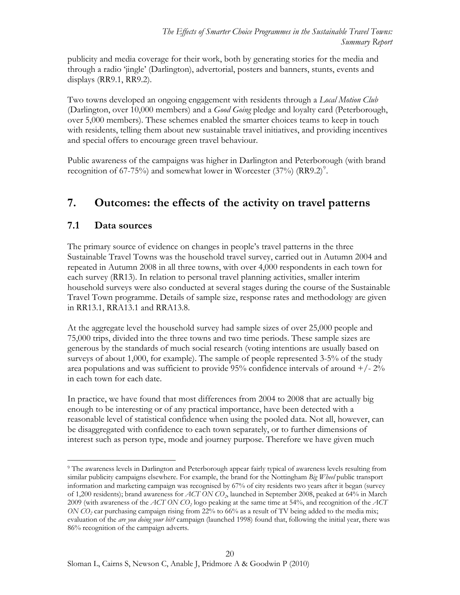publicity and media coverage for their work, both by generating stories for the media and through a radio 'jingle' (Darlington), advertorial, posters and banners, stunts, events and displays (RR9.1, RR9.2).

Two towns developed an ongoing engagement with residents through a *Local Motion Club*  (Darlington, over 10,000 members) and a *Good Going* pledge and loyalty card (Peterborough, over 5,000 members). These schemes enabled the smarter choices teams to keep in touch with residents, telling them about new sustainable travel initiatives, and providing incentives and special offers to encourage green travel behaviour.

Public awareness of the campaigns was higher in Darlington and Peterborough (with brand recognition of 67-75%) and somewhat lower in Worcester  $(37%)$  (RR[9](#page-19-2).2)<sup>9</sup>.

# <span id="page-19-0"></span>**7. Outcomes: the effects of the activity on travel patterns**

### <span id="page-19-1"></span>**7.1 Data sources**

The primary source of evidence on changes in people's travel patterns in the three Sustainable Travel Towns was the household travel survey, carried out in Autumn 2004 and repeated in Autumn 2008 in all three towns, with over 4,000 respondents in each town for each survey (RR13). In relation to personal travel planning activities, smaller interim household surveys were also conducted at several stages during the course of the Sustainable Travel Town programme. Details of sample size, response rates and methodology are given in RR13.1, RRA13.1 and RRA13.8.

At the aggregate level the household survey had sample sizes of over 25,000 people and 75,000 trips, divided into the three towns and two time periods. These sample sizes are generous by the standards of much social research (voting intentions are usually based on surveys of about 1,000, for example). The sample of people represented 3-5% of the study area populations and was sufficient to provide 95% confidence intervals of around  $+/- 2\%$ in each town for each date.

In practice, we have found that most differences from 2004 to 2008 that are actually big enough to be interesting or of any practical importance, have been detected with a reasonable level of statistical confidence when using the pooled data. Not all, however, can be disaggregated with confidence to each town separately, or to further dimensions of interest such as person type, mode and journey purpose. Therefore we have given much

<span id="page-19-2"></span> $\overline{a}$ 9 The awareness levels in Darlington and Peterborough appear fairly typical of awareness levels resulting from similar publicity campaigns elsewhere. For example, the brand for the Nottingham *Big Wheel* public transport information and marketing campaign was recognised by 67% of city residents two years after it began (survey of 1,200 residents); brand awareness for *ACT ON CO2*, launched in September 2008, peaked at 64% in March 2009 (with awareness of the *ACT ON CO2* logo peaking at the same time at 54%, and recognition of the *ACT ON CO<sub>2</sub>* car purchasing campaign rising from 22% to 66% as a result of TV being added to the media mix; evaluation of the *are you doing your bit?* campaign (launched 1998) found that, following the initial year, there was 86% recognition of the campaign adverts.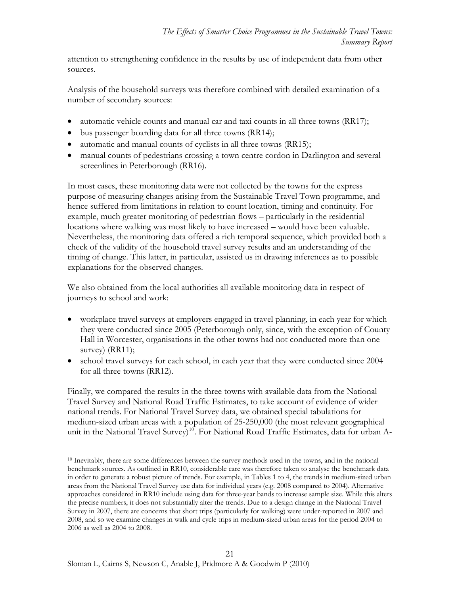attention to strengthening confidence in the results by use of independent data from other sources.

Analysis of the household surveys was therefore combined with detailed examination of a number of secondary sources:

- automatic vehicle counts and manual car and taxi counts in all three towns (RR17);
- bus passenger boarding data for all three towns (RR14);
- automatic and manual counts of cyclists in all three towns (RR15);
- manual counts of pedestrians crossing a town centre cordon in Darlington and several screenlines in Peterborough (RR16).

In most cases, these monitoring data were not collected by the towns for the express purpose of measuring changes arising from the Sustainable Travel Town programme, and hence suffered from limitations in relation to count location, timing and continuity. For example, much greater monitoring of pedestrian flows – particularly in the residential locations where walking was most likely to have increased – would have been valuable. Nevertheless, the monitoring data offered a rich temporal sequence, which provided both a check of the validity of the household travel survey results and an understanding of the timing of change. This latter, in particular, assisted us in drawing inferences as to possible explanations for the observed changes.

We also obtained from the local authorities all available monitoring data in respect of journeys to school and work:

- workplace travel surveys at employers engaged in travel planning, in each year for which they were conducted since 2005 (Peterborough only, since, with the exception of County Hall in Worcester, organisations in the other towns had not conducted more than one survey) (RR11);
- school travel surveys for each school, in each year that they were conducted since 2004 for all three towns (RR12).

Finally, we compared the results in the three towns with available data from the National Travel Survey and National Road Traffic Estimates, to take account of evidence of wider national trends. For National Travel Survey data, we obtained special tabulations for medium-sized urban areas with a population of 25-250,000 (the most relevant geographical unit in the National Travel Survey)<sup>[10](#page-20-0)</sup>. For National Road Traffic Estimates, data for urban A-

<span id="page-20-0"></span> $\overline{a}$ 10 Inevitably, there are some differences between the survey methods used in the towns, and in the national benchmark sources. As outlined in RR10, considerable care was therefore taken to analyse the benchmark data in order to generate a robust picture of trends. For example, in Tables 1 to 4, the trends in medium-sized urban areas from the National Travel Survey use data for individual years (e.g. 2008 compared to 2004). Alternative approaches considered in RR10 include using data for three-year bands to increase sample size. While this alters the precise numbers, it does not substantially alter the trends. Due to a design change in the National Travel Survey in 2007, there are concerns that short trips (particularly for walking) were under-reported in 2007 and 2008, and so we examine changes in walk and cycle trips in medium-sized urban areas for the period 2004 to 2006 as well as 2004 to 2008.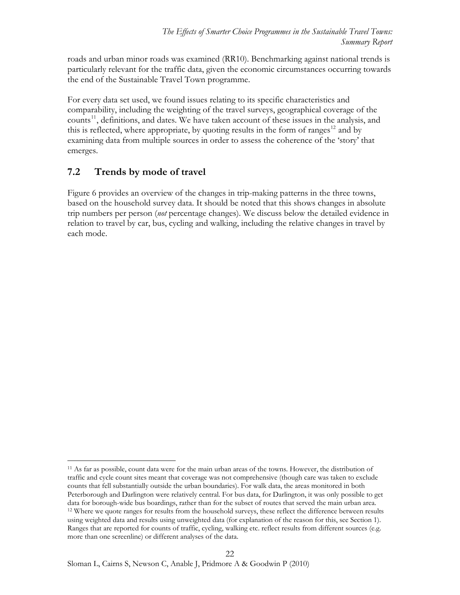roads and urban minor roads was examined (RR10). Benchmarking against national trends is particularly relevant for the traffic data, given the economic circumstances occurring towards the end of the Sustainable Travel Town programme.

For every data set used, we found issues relating to its specific characteristics and comparability, including the weighting of the travel surveys, geographical coverage of the counts<sup>[11](#page-21-1)</sup>, definitions, and dates. We have taken account of these issues in the analysis, and this is reflected, where appropriate, by quoting results in the form of ranges<sup>[12](#page-21-2)</sup> and by examining data from multiple sources in order to assess the coherence of the 'story' that emerges.

### <span id="page-21-0"></span>**7.2 Trends by mode of travel**

 $\overline{a}$ 

Figure 6 provides an overview of the changes in trip-making patterns in the three towns, based on the household survey data. It should be noted that this shows changes in absolute trip numbers per person (*not* percentage changes). We discuss below the detailed evidence in relation to travel by car, bus, cycling and walking, including the relative changes in travel by each mode.

<span id="page-21-2"></span><span id="page-21-1"></span><sup>&</sup>lt;sup>11</sup> As far as possible, count data were for the main urban areas of the towns. However, the distribution of traffic and cycle count sites meant that coverage was not comprehensive (though care was taken to exclude counts that fell substantially outside the urban boundaries). For walk data, the areas monitored in both Peterborough and Darlington were relatively central. For bus data, for Darlington, it was only possible to get data for borough-wide bus boardings, rather than for the subset of routes that served the main urban area. <sup>12</sup> Where we quote ranges for results from the household surveys, these reflect the difference between results using weighted data and results using unweighted data (for explanation of the reason for this, see Section 1). Ranges that are reported for counts of traffic, cycling, walking etc. reflect results from different sources (e.g. more than one screenline) or different analyses of the data.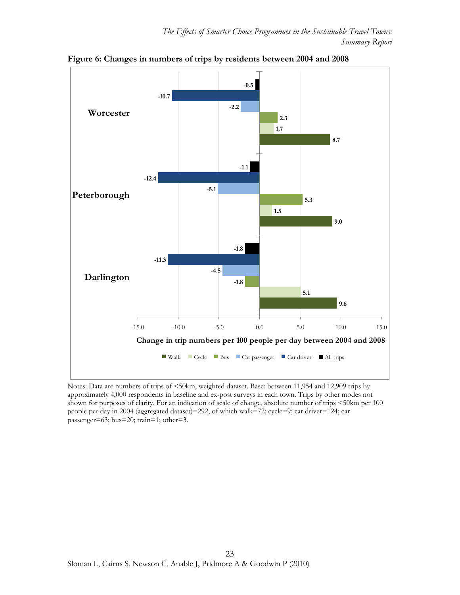

**Figure 6: Changes in numbers of trips by residents between 2004 and 2008** 

Notes: Data are numbers of trips of <50km, weighted dataset. Base: between 11,954 and 12,909 trips by approximately 4,000 respondents in baseline and ex-post surveys in each town. Trips by other modes not shown for purposes of clarity. For an indication of scale of change, absolute number of trips <50km per 100 people per day in 2004 (aggregated dataset)=292, of which walk=72; cycle=9; car driver=124; car passenger=63; bus=20; train=1; other=3.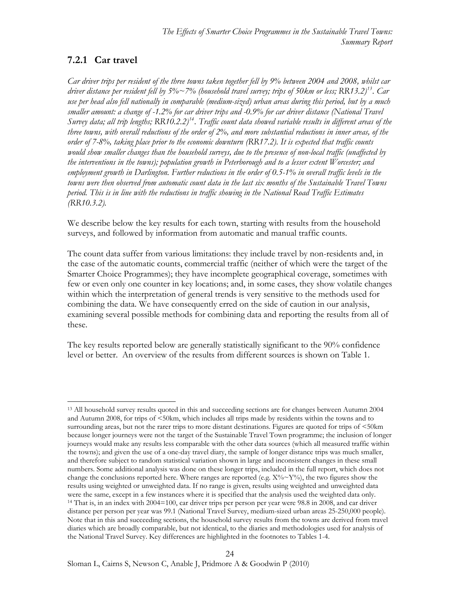# **7.2.1 Car travel**

*Car driver trips per resident of the three towns taken together fell by 9% between 2004 and 2008, whilst car driver distance per resident fell by 5%~7% (household travel survey; trips of 50km or less; RR13.2)[13](#page-23-0). Car use per head also fell nationally in comparable (medium-sized) urban areas during this period, but by a much smaller amount: a change of -1.2% for car driver trips and -0.9% for car driver distance (National Travel Survey data; all trip lengths; RR10.2.2)[14](#page-23-1). Traffic count data showed variable results in different areas of the three towns, with overall reductions of the order of 2%, and more substantial reductions in inner areas, of the order of 7-8%, taking place prior to the economic downturn (RR17.2). It is expected that traffic counts would show smaller changes than the household surveys, due to the presence of non-local traffic (unaffected by the interventions in the towns); population growth in Peterborough and to a lesser extent Worcester; and employment growth in Darlington. Further reductions in the order of 0.5-1% in overall traffic levels in the towns were then observed from automatic count data in the last six months of the Sustainable Travel Towns period. This is in line with the reductions in traffic showing in the National Road Traffic Estimates (RR10.3.2).* 

We describe below the key results for each town, starting with results from the household surveys, and followed by information from automatic and manual traffic counts.

The count data suffer from various limitations: they include travel by non-residents and, in the case of the automatic counts, commercial traffic (neither of which were the target of the Smarter Choice Programmes); they have incomplete geographical coverage, sometimes with few or even only one counter in key locations; and, in some cases, they show volatile changes within which the interpretation of general trends is very sensitive to the methods used for combining the data. We have consequently erred on the side of caution in our analysis, examining several possible methods for combining data and reporting the results from all of these.

The key results reported below are generally statistically significant to the 90% confidence level or better. An overview of the results from different sources is shown on Table 1.

 $24$ 

<span id="page-23-1"></span><span id="page-23-0"></span> $\overline{a}$ <sup>13</sup> All household survey results quoted in this and succeeding sections are for changes between Autumn 2004 and Autumn 2008, for trips of <50km, which includes all trips made by residents within the towns and to surrounding areas, but not the rarer trips to more distant destinations. Figures are quoted for trips of <50km because longer journeys were not the target of the Sustainable Travel Town programme; the inclusion of longer journeys would make any results less comparable with the other data sources (which all measured traffic within the towns); and given the use of a one-day travel diary, the sample of longer distance trips was much smaller, and therefore subject to random statistical variation shown in large and inconsistent changes in these small numbers. Some additional analysis was done on these longer trips, included in the full report, which does not change the conclusions reported here. Where ranges are reported (e.g.  $X\%~Y\%$ ), the two figures show the results using weighted or unweighted data. If no range is given, results using weighted and unweighted data were the same, except in a few instances where it is specified that the analysis used the weighted data only. <sup>14</sup> That is, in an index with 2004=100, car driver trips per person per year were 98.8 in 2008, and car driver distance per person per year was 99.1 (National Travel Survey, medium-sized urban areas 25-250,000 people). Note that in this and succeeding sections, the household survey results from the towns are derived from travel diaries which are broadly comparable, but not identical, to the diaries and methodologies used for analysis of the National Travel Survey. Key differences are highlighted in the footnotes to Tables 1-4.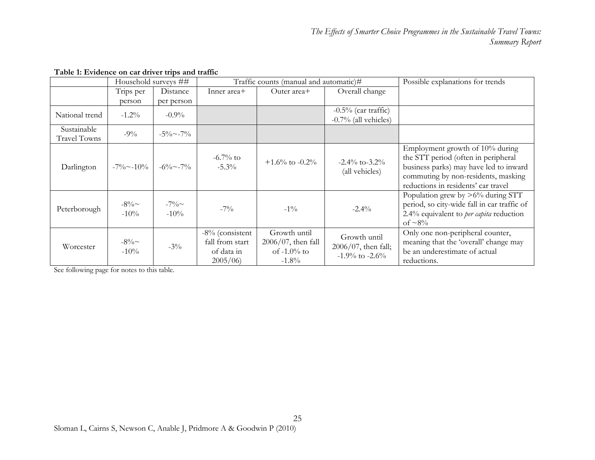|                                    | Household surveys ##  |                      | Traffic counts (manual and automatic)#                      |                                                                     |                                                                | Possible explanations for trends                                                                                                                                                               |
|------------------------------------|-----------------------|----------------------|-------------------------------------------------------------|---------------------------------------------------------------------|----------------------------------------------------------------|------------------------------------------------------------------------------------------------------------------------------------------------------------------------------------------------|
|                                    | Trips per             | Distance             | Inner area+                                                 | Outer area+                                                         | Overall change                                                 |                                                                                                                                                                                                |
|                                    | person                | per person           |                                                             |                                                                     |                                                                |                                                                                                                                                                                                |
| National trend                     | $-1.2\%$              | $-0.9\%$             |                                                             |                                                                     | $-0.5\%$ (car traffic)<br>$-0.7\%$ (all vehicles)              |                                                                                                                                                                                                |
| Sustainable<br><b>Travel Towns</b> | $-9\%$                | $-5\%$ $\sim$ $-7\%$ |                                                             |                                                                     |                                                                |                                                                                                                                                                                                |
| Darlington                         | $-7\%$ $\sim$ $-10\%$ | $-6\% \sim -7\%$     | $-6.7\%$ to<br>$-5.3\%$                                     | $+1.6\%$ to $-0.2\%$                                                | $-2.4\%$ to $-3.2\%$<br>(all vehicles)                         | Employment growth of 10% during<br>the STT period (often in peripheral<br>business parks) may have led to inward<br>commuting by non-residents, masking<br>reductions in residents' car travel |
| Peterborough                       | $-8\%$ ~<br>$-10\%$   | $-7\%$ ~<br>$-10\%$  | $-7\%$                                                      | $-1\%$                                                              | $-2.4\%$                                                       | Population grew by $>6\%$ during STT<br>period, so city-wide fall in car traffic of<br>2.4% equivalent to <i>per capita</i> reduction<br>of $\sim 8\%$                                         |
| Worcester                          | $-8\%$ ~<br>$-10\%$   | $-3\%$               | -8% (consistent<br>fall from start<br>of data in<br>2005/06 | Growth until<br>$2006/07$ , then fall<br>of $-1.0\%$ to<br>$-1.8\%$ | Growth until<br>$2006/07$ , then fall;<br>$-1.9\%$ to $-2.6\%$ | Only one non-peripheral counter,<br>meaning that the 'overall' change may<br>be an underestimate of actual<br>reductions.                                                                      |

#### **Table 1: Evidence on car driver trips and traffic**

See following page for notes to this table.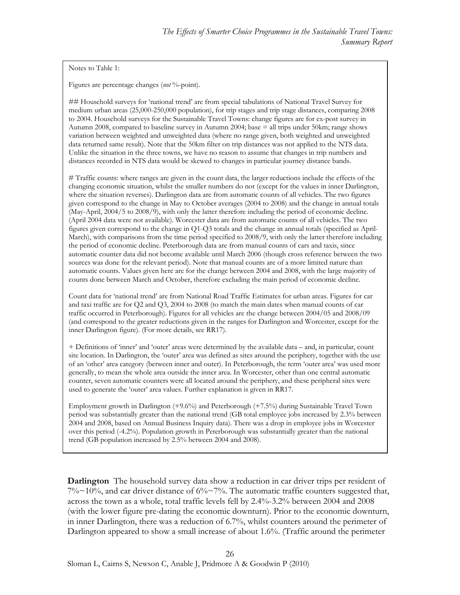Notes to Table 1:

Figures are percentage changes (*not* %-point).

## Household surveys for 'national trend' are from special tabulations of National Travel Survey for medium urban areas (25,000-250,000 population), for trip stages and trip stage distances, comparing 2008 to 2004. Household surveys for the Sustainable Travel Towns: change figures are for ex-post survey in Autumn 2008, compared to baseline survey in Autumn 2004; base = all trips under 50km; range shows variation between weighted and unweighted data (where no range given, both weighted and unweighted data returned same result). Note that the 50km filter on trip distances was not applied to the NTS data. Unlike the situation in the three towns, we have no reason to assume that changes in trip numbers and distances recorded in NTS data would be skewed to changes in particular journey distance bands.

# Traffic counts: where ranges are given in the count data, the larger reductions include the effects of the changing economic situation, whilst the smaller numbers do not (except for the values in inner Darlington, where the situation reverses). Darlington data are from automatic counts of all vehicles. The two figures given correspond to the change in May to October averages (2004 to 2008) and the change in annual totals (May-April, 2004/5 to 2008/9), with only the latter therefore including the period of economic decline. (April 2004 data were not available). Worcester data are from automatic counts of all vehicles. The two figures given correspond to the change in Q1-Q3 totals and the change in annual totals (specified as April-March), with comparisons from the time period specified to 2008/9, with only the latter therefore including the period of economic decline. Peterborough data are from manual counts of cars and taxis, since automatic counter data did not become available until March 2006 (though cross reference between the two sources was done for the relevant period). Note that manual counts are of a more limited nature than automatic counts. Values given here are for the change between 2004 and 2008, with the large majority of counts done between March and October, therefore excluding the main period of economic decline.

Count data for 'national trend' are from National Road Traffic Estimates for urban areas. Figures for car and taxi traffic are for Q2 and Q3, 2004 to 2008 (to match the main dates when manual counts of car traffic occurred in Peterborough). Figures for all vehicles are the change between 2004/05 and 2008/09 (and correspond to the greater reductions given in the ranges for Darlington and Worcester, except for the inner Darlington figure). (For more details, see RR17).

+ Definitions of 'inner' and 'outer' areas were determined by the available data – and, in particular, count site location. In Darlington, the 'outer' area was defined as sites around the periphery, together with the use of an 'other' area category (between inner and outer). In Peterborough, the term 'outer area' was used more generally, to mean the whole area outside the inner area. In Worcester, other than one central automatic counter, seven automatic counters were all located around the periphery, and these peripheral sites were used to generate the 'outer' area values. Further explanation is given in RR17.

Employment growth in Darlington (+9.6%) and Peterborough (+7.5%) during Sustainable Travel Town period was substantially greater than the national trend (GB total employee jobs increased by 2.3% between 2004 and 2008, based on Annual Business Inquiry data). There was a drop in employee jobs in Worcester over this period (-4.2%). Population growth in Peterborough was substantially greater than the national trend (GB population increased by 2.5% between 2004 and 2008).

**Darlington** The household survey data show a reduction in car driver trips per resident of  $7\% \sim 10\%$ , and car driver distance of  $6\% \sim 7\%$ . The automatic traffic counters suggested that, across the town as a whole, total traffic levels fell by 2.4%-3.2% between 2004 and 2008 (with the lower figure pre-dating the economic downturn). Prior to the economic downturn, in inner Darlington, there was a reduction of 6.7%, whilst counters around the perimeter of Darlington appeared to show a small increase of about 1.6%. (Traffic around the perimeter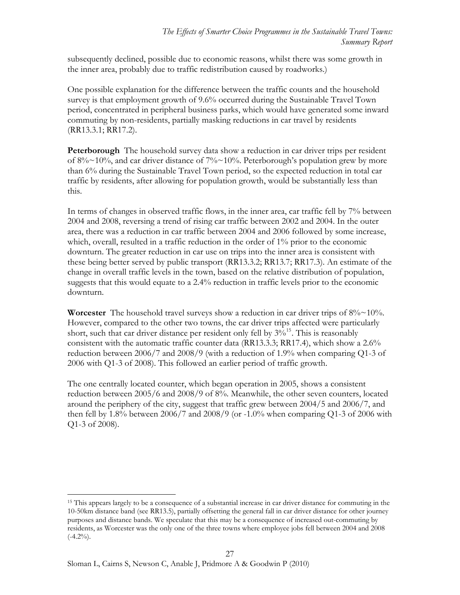subsequently declined, possible due to economic reasons, whilst there was some growth in the inner area, probably due to traffic redistribution caused by roadworks.)

One possible explanation for the difference between the traffic counts and the household survey is that employment growth of 9.6% occurred during the Sustainable Travel Town period, concentrated in peripheral business parks, which would have generated some inward commuting by non-residents, partially masking reductions in car travel by residents (RR13.3.1; RR17.2).

**Peterborough** The household survey data show a reduction in car driver trips per resident of  $8\% \sim 10\%$ , and car driver distance of  $7\% \sim 10\%$ . Peterborough's population grew by more than 6% during the Sustainable Travel Town period, so the expected reduction in total car traffic by residents, after allowing for population growth, would be substantially less than this.

In terms of changes in observed traffic flows, in the inner area, car traffic fell by 7% between 2004 and 2008, reversing a trend of rising car traffic between 2002 and 2004. In the outer area, there was a reduction in car traffic between 2004 and 2006 followed by some increase, which, overall, resulted in a traffic reduction in the order of 1% prior to the economic downturn. The greater reduction in car use on trips into the inner area is consistent with these being better served by public transport (RR13.3.2; RR13.7; RR17.3). An estimate of the change in overall traffic levels in the town, based on the relative distribution of population, suggests that this would equate to a 2.4% reduction in traffic levels prior to the economic downturn.

**Worcester** The household travel surveys show a reduction in car driver trips of  $8\% \sim 10\%$ . However, compared to the other two towns, the car driver trips affected were particularly short, such that car driver distance per resident only fell by  $3\frac{^{6}}{^{15}}$  $3\frac{^{6}}{^{15}}$  $3\frac{^{6}}{^{15}}$ . This is reasonably consistent with the automatic traffic counter data (RR13.3.3; RR17.4), which show a 2.6% reduction between 2006/7 and 2008/9 (with a reduction of 1.9% when comparing Q1-3 of 2006 with Q1-3 of 2008). This followed an earlier period of traffic growth.

The one centrally located counter, which began operation in 2005, shows a consistent reduction between 2005/6 and 2008/9 of 8%. Meanwhile, the other seven counters, located around the periphery of the city, suggest that traffic grew between 2004/5 and 2006/7, and then fell by  $1.8\%$  between  $2006/7$  and  $2008/9$  (or  $-1.0\%$  when comparing Q1-3 of 2006 with Q1-3 of 2008).

<span id="page-26-0"></span> $\overline{a}$ <sup>15</sup> This appears largely to be a consequence of a substantial increase in car driver distance for commuting in the 10-50km distance band (see RR13.5), partially offsetting the general fall in car driver distance for other journey purposes and distance bands. We speculate that this may be a consequence of increased out-commuting by residents, as Worcester was the only one of the three towns where employee jobs fell between 2004 and 2008  $(-4.2\%)$ .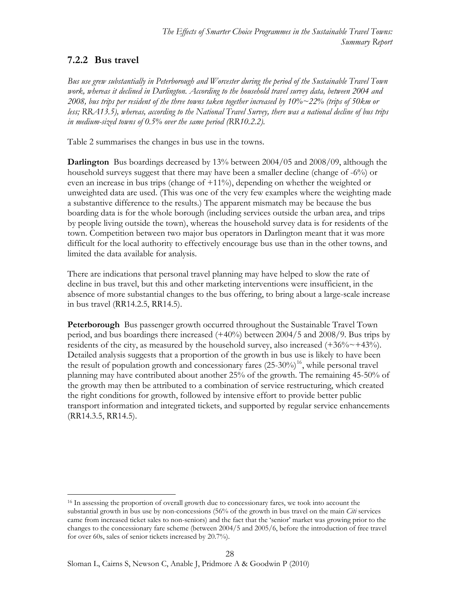### **7.2.2 Bus travel**

*Bus use grew substantially in Peterborough and Worcester during the period of the Sustainable Travel Town work, whereas it declined in Darlington. According to the household travel survey data, between 2004 and 2008, bus trips per resident of the three towns taken together increased by 10%~22% (trips of 50km or less; RRA13.5), whereas, according to the National Travel Survey, there was a national decline of bus trips in medium-sized towns of 0.5% over the same period (RR10.2.2).* 

Table 2 summarises the changes in bus use in the towns.

**Darlington** Bus boardings decreased by 13% between 2004/05 and 2008/09, although the household surveys suggest that there may have been a smaller decline (change of -6%) or even an increase in bus trips (change of  $+11\%$ ), depending on whether the weighted or unweighted data are used. (This was one of the very few examples where the weighting made a substantive difference to the results.) The apparent mismatch may be because the bus boarding data is for the whole borough (including services outside the urban area, and trips by people living outside the town), whereas the household survey data is for residents of the town. Competition between two major bus operators in Darlington meant that it was more difficult for the local authority to effectively encourage bus use than in the other towns, and limited the data available for analysis.

There are indications that personal travel planning may have helped to slow the rate of decline in bus travel, but this and other marketing interventions were insufficient, in the absence of more substantial changes to the bus offering, to bring about a large-scale increase in bus travel (RR14.2.5, RR14.5).

**Peterborough** Bus passenger growth occurred throughout the Sustainable Travel Town period, and bus boardings there increased (+40%) between 2004/5 and 2008/9. Bus trips by residents of the city, as measured by the household survey, also increased  $(+36\% \sim +43\%)$ . Detailed analysis suggests that a proportion of the growth in bus use is likely to have been the result of population growth and concessionary fares  $(25{\text -}30\%)$ <sup>[16](#page-27-0)</sup>, while personal travel planning may have contributed about another 25% of the growth. The remaining 45-50% of the growth may then be attributed to a combination of service restructuring, which created the right conditions for growth, followed by intensive effort to provide better public transport information and integrated tickets, and supported by regular service enhancements (RR14.3.5, RR14.5).

<span id="page-27-0"></span> $\overline{a}$ <sup>16</sup> In assessing the proportion of overall growth due to concessionary fares, we took into account the substantial growth in bus use by non-concessions (56% of the growth in bus travel on the main *Citi* services came from increased ticket sales to non-seniors) and the fact that the 'senior' market was growing prior to the changes to the concessionary fare scheme (between 2004/5 and 2005/6, before the introduction of free travel for over 60s, sales of senior tickets increased by 20.7%).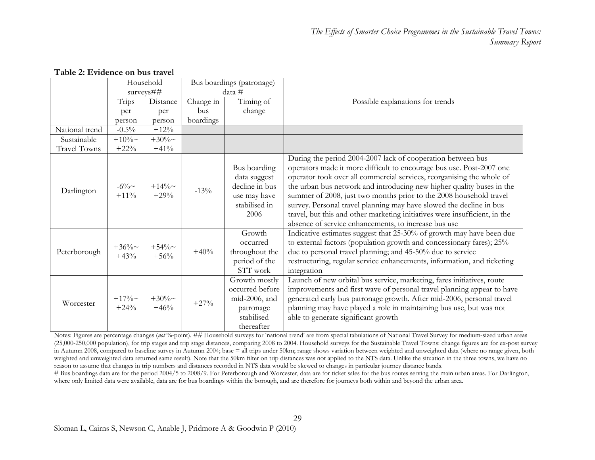|                     | Household           |                     | Bus boardings (patronage) |                                                                                            |                                                                                                                                                                                                                                                                                                                                                                                                                                                                                                                                                                          |
|---------------------|---------------------|---------------------|---------------------------|--------------------------------------------------------------------------------------------|--------------------------------------------------------------------------------------------------------------------------------------------------------------------------------------------------------------------------------------------------------------------------------------------------------------------------------------------------------------------------------------------------------------------------------------------------------------------------------------------------------------------------------------------------------------------------|
|                     | surveys##           |                     | data #                    |                                                                                            |                                                                                                                                                                                                                                                                                                                                                                                                                                                                                                                                                                          |
|                     | Trips               | Distance            | Change in                 | Timing of                                                                                  | Possible explanations for trends                                                                                                                                                                                                                                                                                                                                                                                                                                                                                                                                         |
|                     | per                 | per                 | bus                       | change                                                                                     |                                                                                                                                                                                                                                                                                                                                                                                                                                                                                                                                                                          |
|                     | person              | person              | boardings                 |                                                                                            |                                                                                                                                                                                                                                                                                                                                                                                                                                                                                                                                                                          |
| National trend      | $-0.5\%$            | $+12%$              |                           |                                                                                            |                                                                                                                                                                                                                                                                                                                                                                                                                                                                                                                                                                          |
| Sustainable         | $+10\%$ ~           | $+30\%$ ~           |                           |                                                                                            |                                                                                                                                                                                                                                                                                                                                                                                                                                                                                                                                                                          |
| <b>Travel Towns</b> | $+22%$              | $+41%$              |                           |                                                                                            |                                                                                                                                                                                                                                                                                                                                                                                                                                                                                                                                                                          |
| Darlington          | $-6\%$<br>$+11\%$   | $+14\%$ ~<br>$+29%$ | $-13%$                    | Bus boarding<br>data suggest<br>decline in bus<br>use may have<br>stabilised in<br>2006    | During the period 2004-2007 lack of cooperation between bus<br>operators made it more difficult to encourage bus use. Post-2007 one<br>operator took over all commercial services, reorganising the whole of<br>the urban bus network and introducing new higher quality buses in the<br>summer of 2008, just two months prior to the 2008 household travel<br>survey. Personal travel planning may have slowed the decline in bus<br>travel, but this and other marketing initiatives were insufficient, in the<br>absence of service enhancements, to increase bus use |
| Peterborough        | $+36\%$ ~<br>$+43%$ | $+54\%$ ~<br>$+56%$ | $+40%$                    | Growth<br>occurred<br>throughout the<br>period of the<br>STT work                          | Indicative estimates suggest that 25-30% of growth may have been due<br>to external factors (population growth and concessionary fares); 25%<br>due to personal travel planning; and 45-50% due to service<br>restructuring, regular service enhancements, information, and ticketing<br>integration                                                                                                                                                                                                                                                                     |
| Worcester           | $+17\%$ ~<br>$+24%$ | $+30\%$ ~<br>$+46%$ | $+27%$                    | Growth mostly<br>occurred before<br>mid-2006, and<br>patronage<br>stabilised<br>thereafter | Launch of new orbital bus service, marketing, fares initiatives, route<br>improvements and first wave of personal travel planning appear to have<br>generated early bus patronage growth. After mid-2006, personal travel<br>planning may have played a role in maintaining bus use, but was not<br>able to generate significant growth                                                                                                                                                                                                                                  |

#### **Table 2: Evidence on bus travel**

Notes: Figures are percentage changes (not %-point). ## Household surveys for 'national trend' are from special tabulations of National Travel Survey for medium-sized urban areas (25,000-250,000 population), for trip stages and trip stage distances, comparing 2008 to 2004. Household surveys for the Sustainable Travel Towns: change figures are for ex-post survey in Autumn 2008, compared to baseline survey in Autumn 2004; base = all trips under 50km; range shows variation between weighted and unweighted data (where no range given, both weighted and unweighted data returned same result). Note that the 50km filter on trip distances was not applied to the NTS data. Unlike the situation in the three towns, we have no reason to assume that changes in trip numbers and distances recorded in NTS data would be skewed to changes in particular journey distance bands.

# Bus boardings data are for the period 2004/5 to 2008/9. For Peterborough and Worcester, data are for ticket sales for the bus routes serving the main urban areas. For Darlington, where only limited data were available, data are for bus boardings within the borough, and are therefore for journeys both within and beyond the urban area.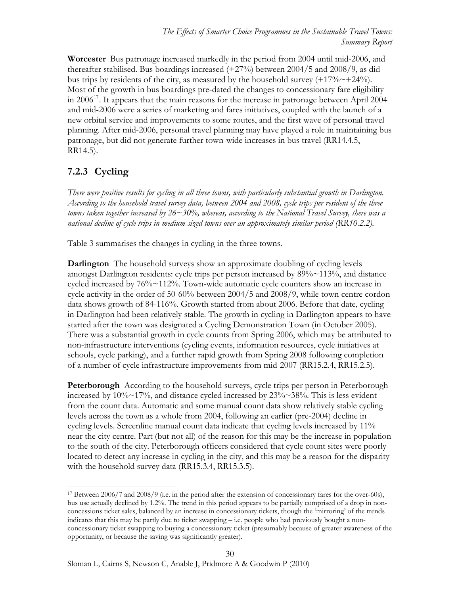**Worcester** Bus patronage increased markedly in the period from 2004 until mid-2006, and thereafter stabilised. Bus boardings increased (+27%) between 2004/5 and 2008/9, as did bus trips by residents of the city, as measured by the household survey  $(+17\% \sim +24\%)$ . Most of the growth in bus boardings pre-dated the changes to concessionary fare eligibility in  $2006^{17}$  $2006^{17}$  $2006^{17}$ . It appears that the main reasons for the increase in patronage between April 2004 and mid-2006 were a series of marketing and fares initiatives, coupled with the launch of a new orbital service and improvements to some routes, and the first wave of personal travel planning. After mid-2006, personal travel planning may have played a role in maintaining bus patronage, but did not generate further town-wide increases in bus travel (RR14.4.5, RR14.5).

# **7.2.3 Cycling**

*There were positive results for cycling in all three towns, with particularly substantial growth in Darlington. According to the household travel survey data, between 2004 and 2008, cycle trips per resident of the three towns taken together increased by 26~30%, whereas, according to the National Travel Survey, there was a national decline of cycle trips in medium-sized towns over an approximately similar period (RR10.2.2).* 

Table 3 summarises the changes in cycling in the three towns.

**Darlington** The household surveys show an approximate doubling of cycling levels amongst Darlington residents: cycle trips per person increased by 89%~113%, and distance cycled increased by 76%~112%. Town-wide automatic cycle counters show an increase in cycle activity in the order of 50-60% between 2004/5 and 2008/9, while town centre cordon data shows growth of 84-116%. Growth started from about 2006. Before that date, cycling in Darlington had been relatively stable. The growth in cycling in Darlington appears to have started after the town was designated a Cycling Demonstration Town (in October 2005). There was a substantial growth in cycle counts from Spring 2006, which may be attributed to non-infrastructure interventions (cycling events, information resources, cycle initiatives at schools, cycle parking), and a further rapid growth from Spring 2008 following completion of a number of cycle infrastructure improvements from mid-2007 (RR15.2.4, RR15.2.5).

**Peterborough** According to the household surveys, cycle trips per person in Peterborough increased by  $10\% \sim 17\%$ , and distance cycled increased by  $23\% \sim 38\%$ . This is less evident from the count data. Automatic and some manual count data show relatively stable cycling levels across the town as a whole from 2004, following an earlier (pre-2004) decline in cycling levels. Screenline manual count data indicate that cycling levels increased by 11% near the city centre. Part (but not all) of the reason for this may be the increase in population to the south of the city. Peterborough officers considered that cycle count sites were poorly located to detect any increase in cycling in the city, and this may be a reason for the disparity with the household survey data (RR15.3.4, RR15.3.5).

<span id="page-29-0"></span> $\overline{a}$ 17 Between 2006/7 and 2008/9 (i.e. in the period after the extension of concessionary fares for the over-60s), bus use actually declined by 1.2%. The trend in this period appears to be partially comprised of a drop in nonconcessions ticket sales, balanced by an increase in concessionary tickets, though the 'mirroring' of the trends indicates that this may be partly due to ticket swapping – i.e. people who had previously bought a nonconcessionary ticket swapping to buying a concessionary ticket (presumably because of greater awareness of the opportunity, or because the saving was significantly greater).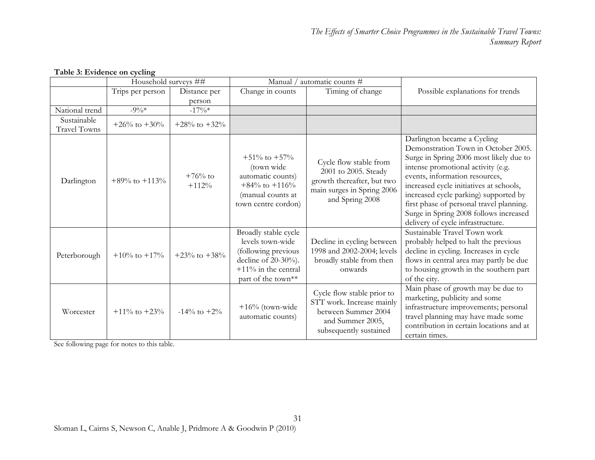|                             | Household surveys ## |                      |                                                                                                                                          | Manual / automatic counts #                                                                                                   |                                                                                                                                                                                                                                                                                                                                                                                                      |
|-----------------------------|----------------------|----------------------|------------------------------------------------------------------------------------------------------------------------------------------|-------------------------------------------------------------------------------------------------------------------------------|------------------------------------------------------------------------------------------------------------------------------------------------------------------------------------------------------------------------------------------------------------------------------------------------------------------------------------------------------------------------------------------------------|
|                             | Trips per person     | Distance per         | Change in counts                                                                                                                         | Timing of change                                                                                                              | Possible explanations for trends                                                                                                                                                                                                                                                                                                                                                                     |
|                             |                      | person               |                                                                                                                                          |                                                                                                                               |                                                                                                                                                                                                                                                                                                                                                                                                      |
| National trend              | $-9\%*$              | $-17\%*$             |                                                                                                                                          |                                                                                                                               |                                                                                                                                                                                                                                                                                                                                                                                                      |
| Sustainable<br>Travel Towns | +26% to +30%         | $+28\%$ to $+32\%$   |                                                                                                                                          |                                                                                                                               |                                                                                                                                                                                                                                                                                                                                                                                                      |
| Darlington                  | $+89\%$ to $+113\%$  | $+76%$ to<br>$+112%$ | $+51\%$ to $+57\%$<br>(town wide<br>automatic counts)<br>$+84\%$ to $+116\%$<br>(manual counts at<br>town centre cordon)                 | Cycle flow stable from<br>2001 to 2005. Steady<br>growth thereafter, but two<br>main surges in Spring 2006<br>and Spring 2008 | Darlington became a Cycling<br>Demonstration Town in October 2005.<br>Surge in Spring 2006 most likely due to<br>intense promotional activity (e.g.<br>events, information resources,<br>increased cycle initiatives at schools,<br>increased cycle parking) supported by<br>first phase of personal travel planning.<br>Surge in Spring 2008 follows increased<br>delivery of cycle infrastructure. |
| Peterborough                | $+10\%$ to $+17\%$   | $+23\%$ to $+38\%$   | Broadly stable cycle<br>levels town-wide<br>(following previous<br>decline of $20-30%$ .<br>$+11\%$ in the central<br>part of the town** | Decline in cycling between<br>1998 and 2002-2004; levels<br>broadly stable from then<br>onwards                               | Sustainable Travel Town work<br>probably helped to halt the previous<br>decline in cycling. Increases in cycle<br>flows in central area may partly be due<br>to housing growth in the southern part<br>of the city.                                                                                                                                                                                  |
| Worcester                   | $+11\%$ to $+23\%$   | $-14\%$ to $+2\%$    | $+16\%$ (town-wide<br>automatic counts)                                                                                                  | Cycle flow stable prior to<br>STT work. Increase mainly<br>between Summer 2004<br>and Summer 2005,<br>subsequently sustained  | Main phase of growth may be due to<br>marketing, publicity and some<br>infrastructure improvements; personal<br>travel planning may have made some<br>contribution in certain locations and at<br>certain times.                                                                                                                                                                                     |

### **Table 3: Evidence on cycling**

See following page for notes to this table.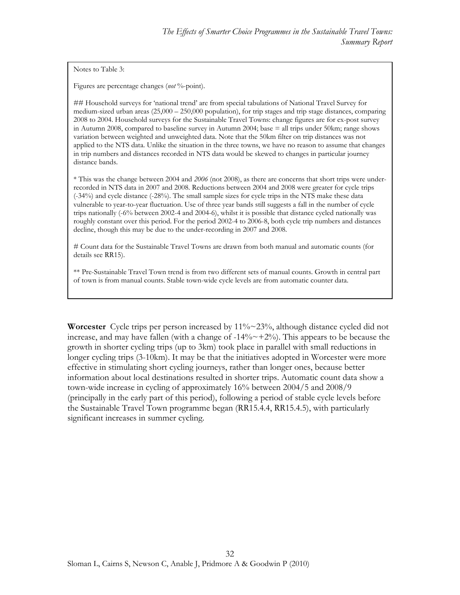Notes to Table 3:

Figures are percentage changes (*not* %-point).

## Household surveys for 'national trend' are from special tabulations of National Travel Survey for medium-sized urban areas (25,000 – 250,000 population), for trip stages and trip stage distances, comparing 2008 to 2004. Household surveys for the Sustainable Travel Towns: change figures are for ex-post survey in Autumn 2008, compared to baseline survey in Autumn 2004; base = all trips under 50km; range shows variation between weighted and unweighted data. Note that the 50km filter on trip distances was not applied to the NTS data. Unlike the situation in the three towns, we have no reason to assume that changes in trip numbers and distances recorded in NTS data would be skewed to changes in particular journey distance bands.

\* This was the change between 2004 and *2006* (not 2008), as there are concerns that short trips were underrecorded in NTS data in 2007 and 2008. Reductions between 2004 and 2008 were greater for cycle trips (-34%) and cycle distance (-28%). The small sample sizes for cycle trips in the NTS make these data vulnerable to year-to-year fluctuation. Use of three year bands still suggests a fall in the number of cycle trips nationally (-6% between 2002-4 and 2004-6), whilst it is possible that distance cycled nationally was roughly constant over this period. For the period 2002-4 to 2006-8, both cycle trip numbers and distances decline, though this may be due to the under-recording in 2007 and 2008.

# Count data for the Sustainable Travel Towns are drawn from both manual and automatic counts (for details see RR15).

\*\* Pre-Sustainable Travel Town trend is from two different sets of manual counts. Growth in central part of town is from manual counts. Stable town-wide cycle levels are from automatic counter data.

**Worcester** Cycle trips per person increased by 11%~23%, although distance cycled did not increase, and may have fallen (with a change of  $-14\% \sim +2\%$ ). This appears to be because the growth in shorter cycling trips (up to 3km) took place in parallel with small reductions in longer cycling trips (3-10km). It may be that the initiatives adopted in Worcester were more effective in stimulating short cycling journeys, rather than longer ones, because better information about local destinations resulted in shorter trips. Automatic count data show a town-wide increase in cycling of approximately 16% between 2004/5 and 2008/9 (principally in the early part of this period), following a period of stable cycle levels before the Sustainable Travel Town programme began (RR15.4.4, RR15.4.5), with particularly significant increases in summer cycling.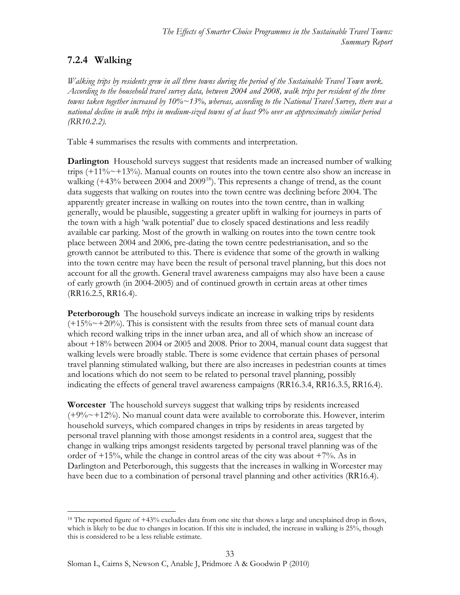# **7.2.4 Walking**

*Walking trips by residents grew in all three towns during the period of the Sustainable Travel Town work. According to the household travel survey data, between 2004 and 2008, walk trips per resident of the three towns taken together increased by 10%~13%, whereas, according to the National Travel Survey, there was a national decline in walk trips in medium-sized towns of at least 9% over an approximately similar period (RR10.2.2).*

Table 4 summarises the results with comments and interpretation.

**Darlington** Household surveys suggest that residents made an increased number of walking trips  $(+11\% \sim +13\%)$ . Manual counts on routes into the town centre also show an increase in walking  $(+43\%$  between 2004 and 2009<sup>[18](#page-32-0)</sup>). This represents a change of trend, as the count data suggests that walking on routes into the town centre was declining before 2004. The apparently greater increase in walking on routes into the town centre, than in walking generally, would be plausible, suggesting a greater uplift in walking for journeys in parts of the town with a high 'walk potential' due to closely spaced destinations and less readily available car parking. Most of the growth in walking on routes into the town centre took place between 2004 and 2006, pre-dating the town centre pedestrianisation, and so the growth cannot be attributed to this. There is evidence that some of the growth in walking into the town centre may have been the result of personal travel planning, but this does not account for all the growth. General travel awareness campaigns may also have been a cause of early growth (in 2004-2005) and of continued growth in certain areas at other times (RR16.2.5, RR16.4).

**Peterborough** The household surveys indicate an increase in walking trips by residents  $(+15\% \sim +20\%)$ . This is consistent with the results from three sets of manual count data which record walking trips in the inner urban area, and all of which show an increase of about +18% between 2004 or 2005 and 2008. Prior to 2004, manual count data suggest that walking levels were broadly stable. There is some evidence that certain phases of personal travel planning stimulated walking, but there are also increases in pedestrian counts at times and locations which do not seem to be related to personal travel planning, possibly indicating the effects of general travel awareness campaigns (RR16.3.4, RR16.3.5, RR16.4).

**Worcester** The household surveys suggest that walking trips by residents increased  $(+9\% \sim +12\%)$ . No manual count data were available to corroborate this. However, interim household surveys, which compared changes in trips by residents in areas targeted by personal travel planning with those amongst residents in a control area, suggest that the change in walking trips amongst residents targeted by personal travel planning was of the order of  $+15%$ , while the change in control areas of the city was about  $+7%$ . As in Darlington and Peterborough, this suggests that the increases in walking in Worcester may have been due to a combination of personal travel planning and other activities (RR16.4).

<span id="page-32-0"></span> $\overline{a}$ <sup>18</sup> The reported figure of  $+43%$  excludes data from one site that shows a large and unexplained drop in flows, which is likely to be due to changes in location. If this site is included, the increase in walking is 25%, though this is considered to be a less reliable estimate.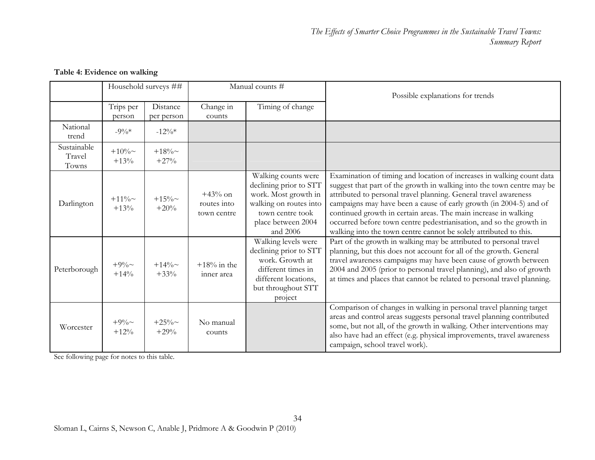|                                | Household surveys ## |                        | Manual counts #                         |                                                                                                                                                       | Possible explanations for trends                                                                                                                                                                                                                                                                                                                                                                                                                                                                         |
|--------------------------------|----------------------|------------------------|-----------------------------------------|-------------------------------------------------------------------------------------------------------------------------------------------------------|----------------------------------------------------------------------------------------------------------------------------------------------------------------------------------------------------------------------------------------------------------------------------------------------------------------------------------------------------------------------------------------------------------------------------------------------------------------------------------------------------------|
|                                | Trips per<br>person  | Distance<br>per person | Change in<br>counts                     | Timing of change                                                                                                                                      |                                                                                                                                                                                                                                                                                                                                                                                                                                                                                                          |
| National<br>trend              | $-9\%*$              | $-12\%*$               |                                         |                                                                                                                                                       |                                                                                                                                                                                                                                                                                                                                                                                                                                                                                                          |
| Sustainable<br>Travel<br>Towns | $+10\%$ ~<br>$+13%$  | $+18\%$ ~<br>$+27%$    |                                         |                                                                                                                                                       |                                                                                                                                                                                                                                                                                                                                                                                                                                                                                                          |
| Darlington                     | $+11\%$ ~<br>$+13%$  | $+15\%$<br>$+20%$      | $+43%$ on<br>routes into<br>town centre | Walking counts were<br>declining prior to STT<br>work. Most growth in<br>walking on routes into<br>town centre took<br>place between 2004<br>and 2006 | Examination of timing and location of increases in walking count data<br>suggest that part of the growth in walking into the town centre may be<br>attributed to personal travel planning. General travel awareness<br>campaigns may have been a cause of early growth (in 2004-5) and of<br>continued growth in certain areas. The main increase in walking<br>occurred before town centre pedestrianisation, and so the growth in<br>walking into the town centre cannot be solely attributed to this. |
| Peterborough                   | $+9\%$ ~<br>$+14%$   | $+14\%$ ~<br>$+33%$    | $+18\%$ in the<br>inner area            | Walking levels were<br>declining prior to STT<br>work. Growth at<br>different times in<br>different locations,<br>but throughout STT<br>project       | Part of the growth in walking may be attributed to personal travel<br>planning, but this does not account for all of the growth. General<br>travel awareness campaigns may have been cause of growth between<br>2004 and 2005 (prior to personal travel planning), and also of growth<br>at times and places that cannot be related to personal travel planning.                                                                                                                                         |
| Worcester                      | $+9\%$ ~<br>$+12%$   | $+25\%$ ~<br>$+29%$    | No manual<br>counts                     |                                                                                                                                                       | Comparison of changes in walking in personal travel planning target<br>areas and control areas suggests personal travel planning contributed<br>some, but not all, of the growth in walking. Other interventions may<br>also have had an effect (e.g. physical improvements, travel awareness<br>campaign, school travel work).                                                                                                                                                                          |

### **Table 4: Evidence on walking**

See following page for notes to this table.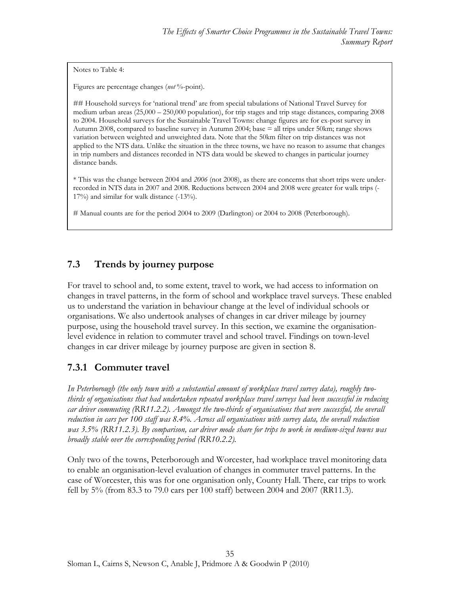Notes to Table 4:

Figures are percentage changes (*not* %-point).

## Household surveys for 'national trend' are from special tabulations of National Travel Survey for medium urban areas (25,000 – 250,000 population), for trip stages and trip stage distances, comparing 2008 to 2004. Household surveys for the Sustainable Travel Towns: change figures are for ex-post survey in Autumn 2008, compared to baseline survey in Autumn 2004; base = all trips under 50km; range shows variation between weighted and unweighted data. Note that the 50km filter on trip distances was not applied to the NTS data. Unlike the situation in the three towns, we have no reason to assume that changes in trip numbers and distances recorded in NTS data would be skewed to changes in particular journey distance bands.

\* This was the change between 2004 and *2006* (not 2008), as there are concerns that short trips were underrecorded in NTS data in 2007 and 2008. Reductions between 2004 and 2008 were greater for walk trips (- 17%) and similar for walk distance (-13%).

# Manual counts are for the period 2004 to 2009 (Darlington) or 2004 to 2008 (Peterborough).

### <span id="page-34-0"></span>**7.3 Trends by journey purpose**

For travel to school and, to some extent, travel to work, we had access to information on changes in travel patterns, in the form of school and workplace travel surveys. These enabled us to understand the variation in behaviour change at the level of individual schools or organisations. We also undertook analyses of changes in car driver mileage by journey purpose, using the household travel survey. In this section, we examine the organisationlevel evidence in relation to commuter travel and school travel. Findings on town-level changes in car driver mileage by journey purpose are given in section 8.

### **7.3.1 Commuter travel**

*In Peterborough (the only town with a substantial amount of workplace travel survey data), roughly twothirds of organisations that had undertaken repeated workplace travel surveys had been successful in reducing car driver commuting (RR11.2.2). Amongst the two-thirds of organisations that were successful, the overall reduction in cars per 100 staff was 8.4%. Across all organisations with survey data, the overall reduction was 3.5% (RR11.2.3). By comparison, car driver mode share for trips to work in medium-sized towns was broadly stable over the corresponding period (RR10.2.2).* 

Only two of the towns, Peterborough and Worcester, had workplace travel monitoring data to enable an organisation-level evaluation of changes in commuter travel patterns. In the case of Worcester, this was for one organisation only, County Hall. There, car trips to work fell by 5% (from 83.3 to 79.0 cars per 100 staff) between 2004 and 2007 (RR11.3).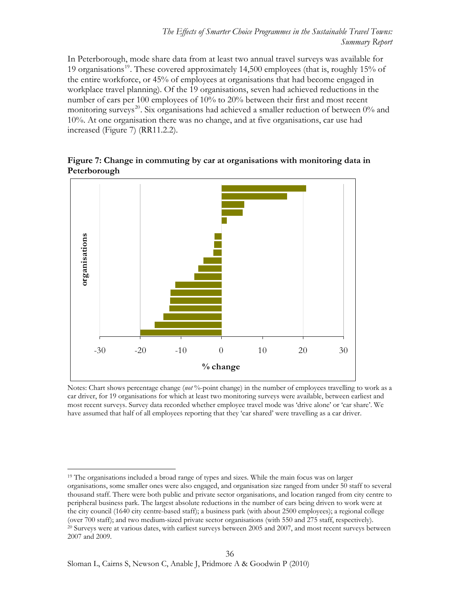In Peterborough, mode share data from at least two annual travel surveys was available for [19](#page-35-0) organisations<sup>19</sup>. These covered approximately 14,500 employees (that is, roughly 15% of the entire workforce, or 45% of employees at organisations that had become engaged in workplace travel planning). Of the 19 organisations, seven had achieved reductions in the number of cars per 100 employees of 10% to 20% between their first and most recent monitoring surveys<sup>[20](#page-35-1)</sup>. Six organisations had achieved a smaller reduction of between  $0\%$  and 10%. At one organisation there was no change, and at five organisations, car use had increased (Figure 7) (RR11.2.2).



**Figure 7: Change in commuting by car at organisations with monitoring data in Peterborough** 

Notes: Chart shows percentage change (*not* %-point change) in the number of employees travelling to work as a car driver, for 19 organisations for which at least two monitoring surveys were available, between earliest and most recent surveys. Survey data recorded whether employee travel mode was 'drive alone' or 'car share'. We have assumed that half of all employees reporting that they 'car shared' were travelling as a car driver.

<span id="page-35-1"></span><span id="page-35-0"></span> $\overline{a}$ <sup>19</sup> The organisations included a broad range of types and sizes. While the main focus was on larger organisations, some smaller ones were also engaged, and organisation size ranged from under 50 staff to several thousand staff. There were both public and private sector organisations, and location ranged from city centre to peripheral business park. The largest absolute reductions in the number of cars being driven to work were at the city council (1640 city centre-based staff); a business park (with about 2500 employees); a regional college (over 700 staff); and two medium-sized private sector organisations (with 550 and 275 staff, respectively). <sup>20</sup> Surveys were at various dates, with earliest surveys between 2005 and 2007, and most recent surveys between 2007 and 2009.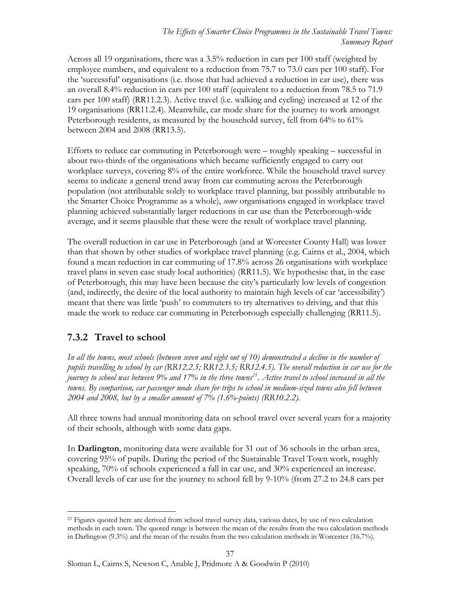Across all 19 organisations, there was a 3.5% reduction in cars per 100 staff (weighted by employee numbers, and equivalent to a reduction from 75.7 to 73.0 cars per 100 staff). For the 'successful' organisations (i.e. those that had achieved a reduction in car use), there was an overall 8.4% reduction in cars per 100 staff (equivalent to a reduction from 78.5 to 71.9 cars per 100 staff) (RR11.2.3). Active travel (i.e. walking and cycling) increased at 12 of the 19 organisations (RR11.2.4). Meanwhile, car mode share for the journey to work amongst Peterborough residents, as measured by the household survey, fell from 64% to 61% between 2004 and 2008 (RR13.5).

Efforts to reduce car commuting in Peterborough were – roughly speaking – successful in about two-thirds of the organisations which became sufficiently engaged to carry out workplace surveys, covering 8% of the entire workforce. While the household travel survey seems to indicate a general trend away from car commuting across the Peterborough population (not attributable solely to workplace travel planning, but possibly attributable to the Smarter Choice Programme as a whole), *some* organisations engaged in workplace travel planning achieved substantially larger reductions in car use than the Peterborough-wide average, and it seems plausible that these were the result of workplace travel planning.

The overall reduction in car use in Peterborough (and at Worcester County Hall) was lower than that shown by other studies of workplace travel planning (e.g. Cairns et al., 2004, which found a mean reduction in car commuting of 17.8% across 26 organisations with workplace travel plans in seven case study local authorities) (RR11.5). We hypothesise that, in the case of Peterborough, this may have been because the city's particularly low levels of congestion (and, indirectly, the desire of the local authority to maintain high levels of car 'accessibility') meant that there was little 'push' to commuters to try alternatives to driving, and that this made the work to reduce car commuting in Peterborough especially challenging (RR11.5).

### **7.3.2 Travel to school**

*In all the towns, most schools (between seven and eight out of 10) demonstrated a decline in the number of pupils travelling to school by car (RR12.2.5; RR12.3.5; RR12.4.5). The overall reduction in car use for the journey to school was between 9% and 17% in the three towns[21](#page-36-0). Active travel to school increased in all the towns. By comparison, car passenger mode share for trips to school in medium-sized towns also fell between 2004 and 2008, but by a smaller amount of 7% (1.6%-points) (RR10.2.2).* 

All three towns had annual monitoring data on school travel over several years for a majority of their schools, although with some data gaps.

In **Darlington**, monitoring data were available for 31 out of 36 schools in the urban area, covering 95% of pupils. During the period of the Sustainable Travel Town work, roughly speaking, 70% of schools experienced a fall in car use, and 30% experienced an increase. Overall levels of car use for the journey to school fell by 9-10% (from 27.2 to 24.8 cars per

<span id="page-36-0"></span> $\overline{a}$ <sup>21</sup> Figures quoted here are derived from school travel survey data, various dates, by use of two calculation methods in each town. The quoted range is between the mean of the results from the two calculation methods in Darlington (9.3%) and the mean of the results from the two calculation methods in Worcester (16.7%).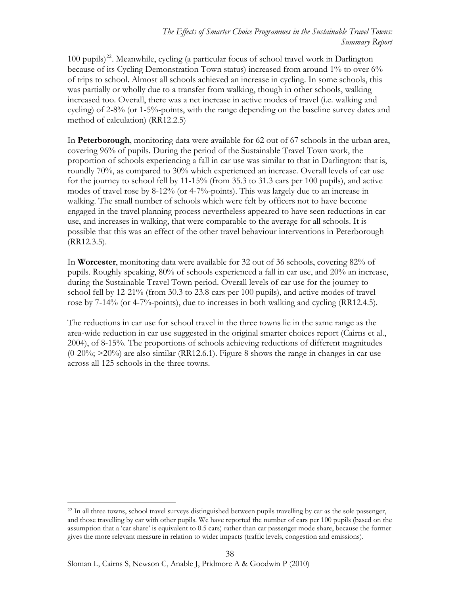$100$  pupils)<sup>[22](#page-37-0)</sup>. Meanwhile, cycling (a particular focus of school travel work in Darlington because of its Cycling Demonstration Town status) increased from around 1% to over 6% of trips to school. Almost all schools achieved an increase in cycling. In some schools, this was partially or wholly due to a transfer from walking, though in other schools, walking increased too. Overall, there was a net increase in active modes of travel (i.e. walking and cycling) of 2-8% (or 1-5%-points, with the range depending on the baseline survey dates and method of calculation) (RR12.2.5)

In **Peterborough**, monitoring data were available for 62 out of 67 schools in the urban area, covering 96% of pupils. During the period of the Sustainable Travel Town work, the proportion of schools experiencing a fall in car use was similar to that in Darlington: that is, roundly 70%, as compared to 30% which experienced an increase. Overall levels of car use for the journey to school fell by 11-15% (from 35.3 to 31.3 cars per 100 pupils), and active modes of travel rose by 8-12% (or 4-7%-points). This was largely due to an increase in walking. The small number of schools which were felt by officers not to have become engaged in the travel planning process nevertheless appeared to have seen reductions in car use, and increases in walking, that were comparable to the average for all schools. It is possible that this was an effect of the other travel behaviour interventions in Peterborough (RR12.3.5).

In **Worcester**, monitoring data were available for 32 out of 36 schools, covering 82% of pupils. Roughly speaking, 80% of schools experienced a fall in car use, and 20% an increase, during the Sustainable Travel Town period. Overall levels of car use for the journey to school fell by 12-21% (from 30.3 to 23.8 cars per 100 pupils), and active modes of travel rose by 7-14% (or 4-7%-points), due to increases in both walking and cycling (RR12.4.5).

The reductions in car use for school travel in the three towns lie in the same range as the area-wide reduction in car use suggested in the original smarter choices report (Cairns et al., 2004), of 8-15%. The proportions of schools achieving reductions of different magnitudes  $(0-20\%)$ ;  $>20\%$ ) are also similar (RR12.6.1). Figure 8 shows the range in changes in car use across all 125 schools in the three towns.

<span id="page-37-0"></span><sup>&</sup>lt;sup>22</sup> In all three towns, school travel surveys distinguished between pupils travelling by car as the sole passenger, and those travelling by car with other pupils. We have reported the number of cars per 100 pupils (based on the assumption that a 'car share' is equivalent to 0.5 cars) rather than car passenger mode share, because the former gives the more relevant measure in relation to wider impacts (traffic levels, congestion and emissions).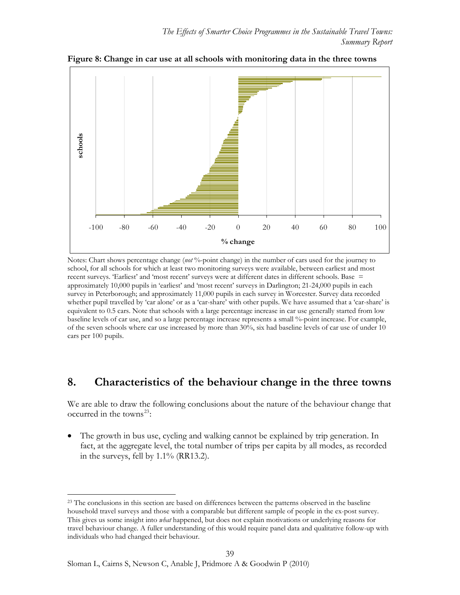

**Figure 8: Change in car use at all schools with monitoring data in the three towns** 

Notes: Chart shows percentage change (*not* %-point change) in the number of cars used for the journey to school, for all schools for which at least two monitoring surveys were available, between earliest and most recent surveys. 'Earliest' and 'most recent' surveys were at different dates in different schools. Base = approximately 10,000 pupils in 'earliest' and 'most recent' surveys in Darlington; 21-24,000 pupils in each survey in Peterborough; and approximately 11,000 pupils in each survey in Worcester. Survey data recorded whether pupil travelled by 'car alone' or as a 'car-share' with other pupils. We have assumed that a 'car-share' is equivalent to 0.5 cars. Note that schools with a large percentage increase in car use generally started from low baseline levels of car use, and so a large percentage increase represents a small %-point increase. For example, of the seven schools where car use increased by more than 30%, six had baseline levels of car use of under 10 cars per 100 pupils.

### <span id="page-38-0"></span>**8. Characteristics of the behaviour change in the three towns**

We are able to draw the following conclusions about the nature of the behaviour change that occurred in the towns<sup>[23](#page-38-1)</sup>:

 The growth in bus use, cycling and walking cannot be explained by trip generation. In fact, at the aggregate level, the total number of trips per capita by all modes, as recorded in the surveys, fell by 1.1% (RR13.2).

<span id="page-38-1"></span><sup>&</sup>lt;sup>23</sup> The conclusions in this section are based on differences between the patterns observed in the baseline household travel surveys and those with a comparable but different sample of people in the ex-post survey. This gives us some insight into *what* happened, but does not explain motivations or underlying reasons for travel behaviour change. A fuller understanding of this would require panel data and qualitative follow-up with individuals who had changed their behaviour.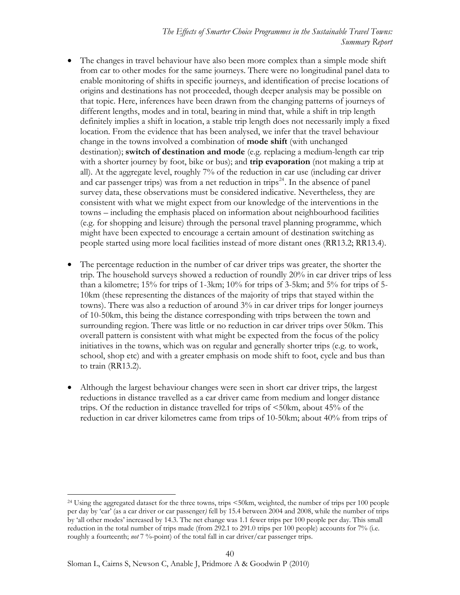- The changes in travel behaviour have also been more complex than a simple mode shift from car to other modes for the same journeys. There were no longitudinal panel data to enable monitoring of shifts in specific journeys, and identification of precise locations of origins and destinations has not proceeded, though deeper analysis may be possible on that topic. Here, inferences have been drawn from the changing patterns of journeys of different lengths, modes and in total, bearing in mind that, while a shift in trip length definitely implies a shift in location, a stable trip length does not necessarily imply a fixed location. From the evidence that has been analysed, we infer that the travel behaviour change in the towns involved a combination of **mode shift** (with unchanged destination); **switch of destination and mode** (e.g. replacing a medium-length car trip with a shorter journey by foot, bike or bus); and **trip evaporation** (not making a trip at all). At the aggregate level, roughly 7% of the reduction in car use (including car driver and car passenger trips) was from a net reduction in trips<sup>[24](#page-39-0)</sup>. In the absence of panel survey data, these observations must be considered indicative. Nevertheless, they are consistent with what we might expect from our knowledge of the interventions in the towns – including the emphasis placed on information about neighbourhood facilities (e.g. for shopping and leisure) through the personal travel planning programme, which might have been expected to encourage a certain amount of destination switching as people started using more local facilities instead of more distant ones (RR13.2; RR13.4).
- The percentage reduction in the number of car driver trips was greater, the shorter the trip. The household surveys showed a reduction of roundly 20% in car driver trips of less than a kilometre; 15% for trips of 1-3km; 10% for trips of 3-5km; and 5% for trips of 5- 10km (these representing the distances of the majority of trips that stayed within the towns). There was also a reduction of around 3% in car driver trips for longer journeys of 10-50km, this being the distance corresponding with trips between the town and surrounding region. There was little or no reduction in car driver trips over 50km. This overall pattern is consistent with what might be expected from the focus of the policy initiatives in the towns, which was on regular and generally shorter trips (e.g. to work, school, shop etc) and with a greater emphasis on mode shift to foot, cycle and bus than to train (RR13.2).
- Although the largest behaviour changes were seen in short car driver trips, the largest reductions in distance travelled as a car driver came from medium and longer distance trips. Of the reduction in distance travelled for trips of <50km, about 45% of the reduction in car driver kilometres came from trips of 10-50km; about 40% from trips of

<span id="page-39-0"></span><sup>24</sup> Using the aggregated dataset for the three towns, trips <50km, weighted, the number of trips per 100 people per day by 'car' (as a car driver or car passenger*)* fell by 15.4 between 2004 and 2008, while the number of trips by 'all other modes' increased by 14.3. The net change was 1.1 fewer trips per 100 people per day. This small reduction in the total number of trips made (from 292.1 to 291.0 trips per 100 people) accounts for 7% (i.e. roughly a fourteenth; *not*  $7\%$ -point) of the total fall in car driver/car passenger trips.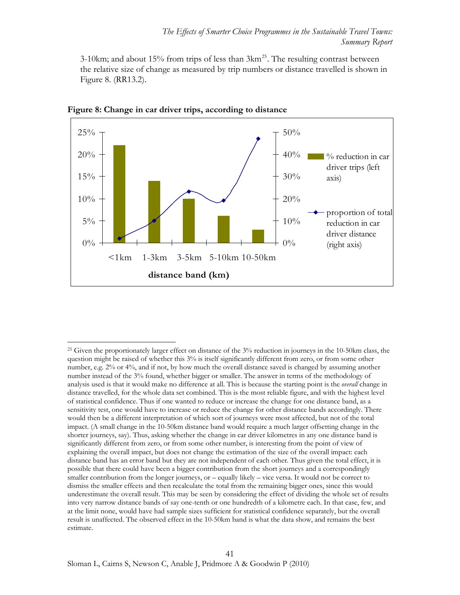3-10km; and about 15% from trips of less than  $3km^{25}$  $3km^{25}$  $3km^{25}$ . The resulting contrast between the relative size of change as measured by trip numbers or distance travelled is shown in Figure 8. (RR13.2).



**Figure 8: Change in car driver trips, according to distance** 

<span id="page-40-0"></span><sup>&</sup>lt;sup>25</sup> Given the proportionately larger effect on distance of the 3% reduction in journeys in the 10-50km class, the question might be raised of whether this 3% is itself significantly different from zero, or from some other number, e.g. 2% or 4%, and if not, by how much the overall distance saved is changed by assuming another number instead of the 3% found, whether bigger or smaller. The answer in terms of the methodology of analysis used is that it would make no difference at all. This is because the starting point is the *overall* change in distance travelled, for the whole data set combined. This is the most reliable figure, and with the highest level of statistical confidence. Thus if one wanted to reduce or increase the change for one distance band, as a sensitivity test, one would have to increase or reduce the change for other distance bands accordingly. There would then be a different interpretation of which sort of journeys were most affected, but not of the total impact. (A small change in the 10-50km distance band would require a much larger offsetting change in the shorter journeys, say). Thus, asking whether the change in car driver kilometres in any one distance band is significantly different from zero, or from some other number, is interesting from the point of view of explaining the overall impact, but does not change the estimation of the size of the overall impact: each distance band has an error band but they are not independent of each other. Thus given the total effect, it is possible that there could have been a bigger contribution from the short journeys and a correspondingly smaller contribution from the longer journeys, or – equally likely – vice versa. It would not be correct to dismiss the smaller effects and then recalculate the total from the remaining bigger ones, since this would underestimate the overall result. This may be seen by considering the effect of dividing the whole set of results into very narrow distance bands of say one-tenth or one hundredth of a kilometre each. In that case, few, and at the limit none, would have had sample sizes sufficient for statistical confidence separately, but the overall result is unaffected. The observed effect in the 10-50km band is what the data show, and remains the best estimate.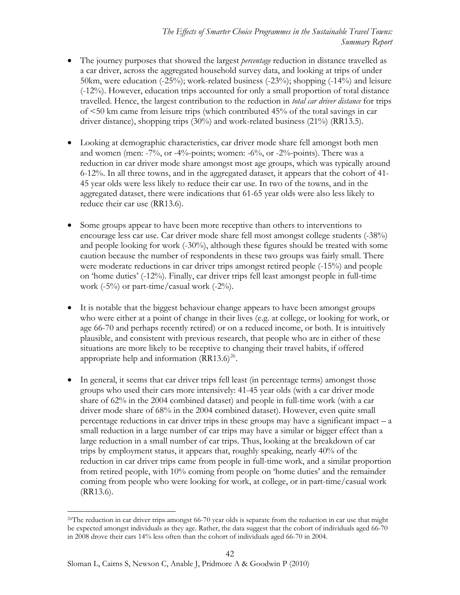- The journey purposes that showed the largest *percentage* reduction in distance travelled as a car driver, across the aggregated household survey data, and looking at trips of under 50km, were education (-25%); work-related business (-23%); shopping (-14%) and leisure (-12%). However, education trips accounted for only a small proportion of total distance travelled. Hence, the largest contribution to the reduction in *total car driver distance* for trips of <50 km came from leisure trips (which contributed 45% of the total savings in car driver distance), shopping trips (30%) and work-related business (21%) (RR13.5).
- Looking at demographic characteristics, car driver mode share fell amongst both men and women (men:  $-7\%$ , or  $-4\%$ -points; women:  $-6\%$ , or  $-2\%$ -points). There was a reduction in car driver mode share amongst most age groups, which was typically around 6-12%. In all three towns, and in the aggregated dataset, it appears that the cohort of 41- 45 year olds were less likely to reduce their car use. In two of the towns, and in the aggregated dataset, there were indications that 61-65 year olds were also less likely to reduce their car use (RR13.6).
- Some groups appear to have been more receptive than others to interventions to encourage less car use. Car driver mode share fell most amongst college students (-38%) and people looking for work (-30%), although these figures should be treated with some caution because the number of respondents in these two groups was fairly small. There were moderate reductions in car driver trips amongst retired people (-15%) and people on 'home duties' (-12%). Finally, car driver trips fell least amongst people in full-time work  $(-5\%)$  or part-time/casual work  $(-2\%)$ .
- It is notable that the biggest behaviour change appears to have been amongst groups who were either at a point of change in their lives (e.g. at college, or looking for work, or age 66-70 and perhaps recently retired) or on a reduced income, or both. It is intuitively plausible, and consistent with previous research, that people who are in either of these situations are more likely to be receptive to changing their travel habits, if offered appropriate help and information  $(RR13.6)^{26}$  $(RR13.6)^{26}$  $(RR13.6)^{26}$ .
- In general, it seems that car driver trips fell least (in percentage terms) amongst those groups who used their cars more intensively: 41-45 year olds (with a car driver mode share of 62% in the 2004 combined dataset) and people in full-time work (with a car driver mode share of 68% in the 2004 combined dataset). However, even quite small percentage reductions in car driver trips in these groups may have a significant impact – a small reduction in a large number of car trips may have a similar or bigger effect than a large reduction in a small number of car trips. Thus, looking at the breakdown of car trips by employment status, it appears that, roughly speaking, nearly 40% of the reduction in car driver trips came from people in full-time work, and a similar proportion from retired people, with 10% coming from people on 'home duties' and the remainder coming from people who were looking for work, at college, or in part-time/casual work (RR13.6).

<span id="page-41-0"></span> $\overline{a}$ <sup>26</sup>The reduction in car driver trips amongst 66-70 year olds is separate from the reduction in car use that might be expected amongst individuals as they age. Rather, the data suggest that the cohort of individuals aged 66-70 in 2008 drove their cars 14% less often than the cohort of individuals aged 66-70 in 2004.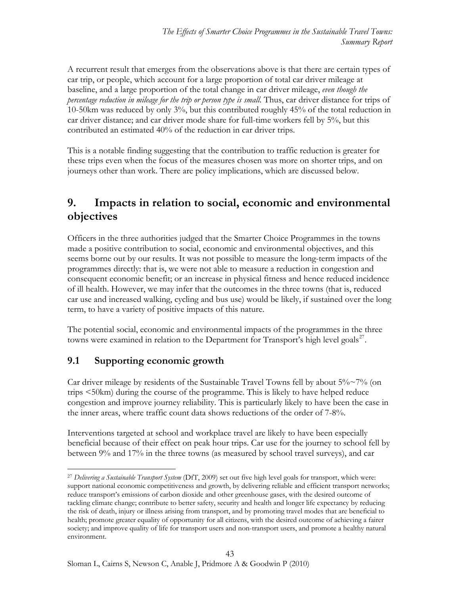A recurrent result that emerges from the observations above is that there are certain types of car trip, or people, which account for a large proportion of total car driver mileage at baseline, and a large proportion of the total change in car driver mileage, *even though the percentage reduction in mileage for the trip or person type is small.* Thus, car driver distance for trips of 10-50km was reduced by only 3%, but this contributed roughly 45% of the total reduction in car driver distance; and car driver mode share for full-time workers fell by 5%, but this contributed an estimated 40% of the reduction in car driver trips.

This is a notable finding suggesting that the contribution to traffic reduction is greater for these trips even when the focus of the measures chosen was more on shorter trips, and on journeys other than work. There are policy implications, which are discussed below.

# <span id="page-42-0"></span>**9. Impacts in relation to social, economic and environmental objectives**

Officers in the three authorities judged that the Smarter Choice Programmes in the towns made a positive contribution to social, economic and environmental objectives, and this seems borne out by our results. It was not possible to measure the long-term impacts of the programmes directly: that is, we were not able to measure a reduction in congestion and consequent economic benefit; or an increase in physical fitness and hence reduced incidence of ill health. However, we may infer that the outcomes in the three towns (that is, reduced car use and increased walking, cycling and bus use) would be likely, if sustained over the long term, to have a variety of positive impacts of this nature.

The potential social, economic and environmental impacts of the programmes in the three towns were examined in relation to the Department for Transport's high level goals<sup>[27](#page-42-2)</sup>.

### <span id="page-42-1"></span>**9.1 Supporting economic growth**

Car driver mileage by residents of the Sustainable Travel Towns fell by about  $5\% \sim 7\%$  (on trips <50km) during the course of the programme. This is likely to have helped reduce congestion and improve journey reliability. This is particularly likely to have been the case in the inner areas, where traffic count data shows reductions of the order of 7-8%.

Interventions targeted at school and workplace travel are likely to have been especially beneficial because of their effect on peak hour trips. Car use for the journey to school fell by between 9% and 17% in the three towns (as measured by school travel surveys), and car

<span id="page-42-2"></span> $\overline{a}$ <sup>27</sup> *Delivering a Sustainable Transport System* (DfT, 2009) set out five high level goals for transport, which were: support national economic competitiveness and growth, by delivering reliable and efficient transport networks; reduce transport's emissions of carbon dioxide and other greenhouse gases, with the desired outcome of tackling climate change; contribute to better safety, security and health and longer life expectancy by reducing the risk of death, injury or illness arising from transport, and by promoting travel modes that are beneficial to health; promote greater equality of opportunity for all citizens, with the desired outcome of achieving a fairer society; and improve quality of life for transport users and non-transport users, and promote a healthy natural environment.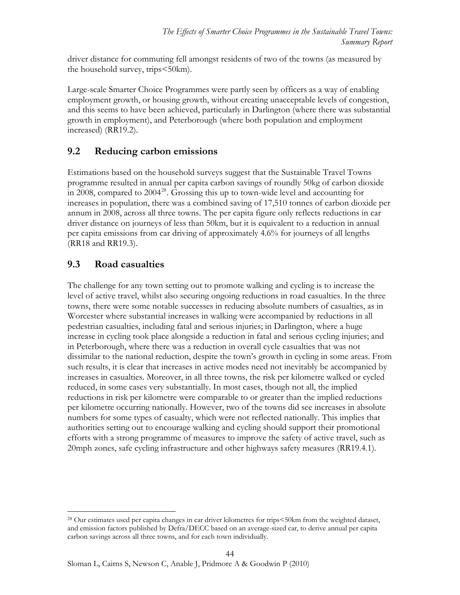driver distance for commuting fell amongst residents of two of the towns (as measured by the household survey, trips<50km).

Large-scale Smarter Choice Programmes were partly seen by officers as a way of enabling employment growth, or housing growth, without creating unacceptable levels of congestion, and this seems to have been achieved, particularly in Darlington (where there was substantial growth in employment), and Peterborough (where both population and employment increased) (RR19.2).

### <span id="page-43-0"></span>**9.2 Reducing carbon emissions**

Estimations based on the household surveys suggest that the Sustainable Travel Towns programme resulted in annual per capita carbon savings of roundly 50kg of carbon dioxide in 2008, compared to  $2004^{28}$  $2004^{28}$  $2004^{28}$ . Grossing this up to town-wide level and accounting for increases in population, there was a combined saving of 17,510 tonnes of carbon dioxide per annum in 2008, across all three towns. The per capita figure only reflects reductions in car driver distance on journeys of less than 50km, but it is equivalent to a reduction in annual per capita emissions from car driving of approximately 4.6% for journeys of all lengths (RR18 and RR19.3).

### <span id="page-43-1"></span>**9.3 Road casualties**

 $\overline{a}$ 

The challenge for any town setting out to promote walking and cycling is to increase the level of active travel, whilst also securing ongoing reductions in road casualties. In the three towns, there were some notable successes in reducing absolute numbers of casualties, as in Worcester where substantial increases in walking were accompanied by reductions in all pedestrian casualties, including fatal and serious injuries; in Darlington, where a huge increase in cycling took place alongside a reduction in fatal and serious cycling injuries; and in Peterborough, where there was a reduction in overall cycle casualties that was not dissimilar to the national reduction, despite the town's growth in cycling in some areas. From such results, it is clear that increases in active modes need not inevitably be accompanied by increases in casualties. Moreover, in all three towns, the risk per kilometre walked or cycled reduced, in some cases very substantially. In most cases, though not all, the implied reductions in risk per kilometre were comparable to or greater than the implied reductions per kilometre occurring nationally. However, two of the towns did see increases in absolute numbers for some types of casualty, which were not reflected nationally. This implies that authorities setting out to encourage walking and cycling should support their promotional efforts with a strong programme of measures to improve the safety of active travel, such as 20mph zones, safe cycling infrastructure and other highways safety measures (RR19.4.1).

<span id="page-43-2"></span><sup>28</sup> Our estimates used per capita changes in car driver kilometres for trips<50km from the weighted dataset, and emission factors published by Defra/DECC based on an average-sized car, to derive annual per capita carbon savings across all three towns, and for each town individually.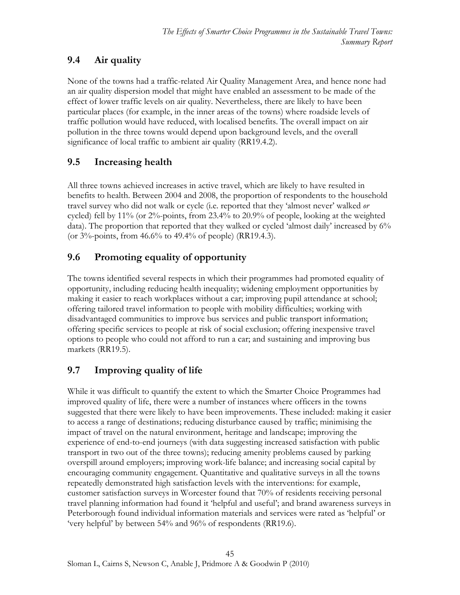# **9.4 Air quality**

None of the towns had a traffic-related Air Quality Management Area, and hence none had an air quality dispersion model that might have enabled an assessment to be made of the effect of lower traffic levels on air quality. Nevertheless, there are likely to have been particular places (for example, in the inner areas of the towns) where roadside levels of traffic pollution would have reduced, with localised benefits. The overall impact on air pollution in the three towns would depend upon background levels, and the overall significance of local traffic to ambient air quality (RR19.4.2).

# <span id="page-44-1"></span>**9.5 Increasing health**

All three towns achieved increases in active travel, which are likely to have resulted in benefits to health. Between 2004 and 2008, the proportion of respondents to the household travel survey who did not walk or cycle (i.e. reported that they 'almost never' walked *or*  cycled) fell by 11% (or 2%-points, from 23.4% to 20.9% of people, looking at the weighted data). The proportion that reported that they walked or cycled 'almost daily' increased by 6% (or 3%-points, from 46.6% to 49.4% of people) (RR19.4.3).

# <span id="page-44-2"></span>**9.6 Promoting equality of opportunity**

The towns identified several respects in which their programmes had promoted equality of opportunity, including reducing health inequality; widening employment opportunities by making it easier to reach workplaces without a car; improving pupil attendance at school; offering tailored travel information to people with mobility difficulties; working with disadvantaged communities to improve bus services and public transport information; offering specific services to people at risk of social exclusion; offering inexpensive travel options to people who could not afford to run a car; and sustaining and improving bus markets (RR19.5).

# <span id="page-44-3"></span>**9.7 Improving quality of life**

<span id="page-44-0"></span>While it was difficult to quantify the extent to which the Smarter Choice Programmes had improved quality of life, there were a number of instances where officers in the towns suggested that there were likely to have been improvements. These included: making it easier to access a range of destinations; reducing disturbance caused by traffic; minimising the impact of travel on the natural environment, heritage and landscape; improving the experience of end-to-end journeys (with data suggesting increased satisfaction with public transport in two out of the three towns); reducing amenity problems caused by parking overspill around employers; improving work-life balance; and increasing social capital by encouraging community engagement. Quantitative and qualitative surveys in all the towns repeatedly demonstrated high satisfaction levels with the interventions: for example, customer satisfaction surveys in Worcester found that 70% of residents receiving personal travel planning information had found it 'helpful and useful'; and brand awareness surveys in Peterborough found individual information materials and services were rated as 'helpful' or 'very helpful' by between 54% and 96% of respondents (RR19.6).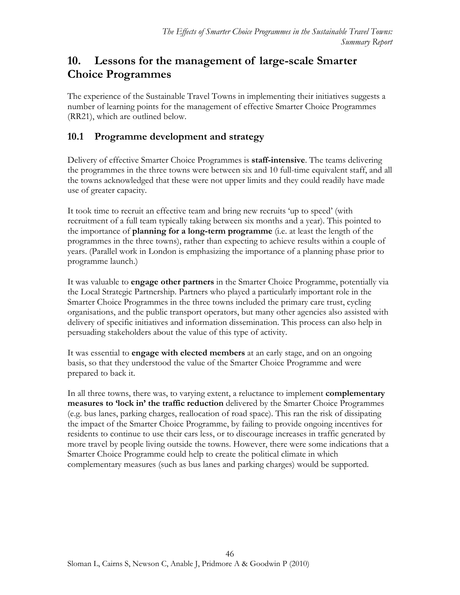# <span id="page-45-0"></span>**10. Lessons for the management of large-scale Smarter Choice Programmes**

The experience of the Sustainable Travel Towns in implementing their initiatives suggests a number of learning points for the management of effective Smarter Choice Programmes (RR21), which are outlined below.

# <span id="page-45-1"></span>**10.1 Programme development and strategy**

Delivery of effective Smarter Choice Programmes is **staff-intensive**. The teams delivering the programmes in the three towns were between six and 10 full-time equivalent staff, and all the towns acknowledged that these were not upper limits and they could readily have made use of greater capacity.

It took time to recruit an effective team and bring new recruits 'up to speed' (with recruitment of a full team typically taking between six months and a year). This pointed to the importance of **planning for a long-term programme** (i.e. at least the length of the programmes in the three towns), rather than expecting to achieve results within a couple of years. (Parallel work in London is emphasizing the importance of a planning phase prior to programme launch.)

It was valuable to **engage other partners** in the Smarter Choice Programme, potentially via the Local Strategic Partnership. Partners who played a particularly important role in the Smarter Choice Programmes in the three towns included the primary care trust, cycling organisations, and the public transport operators, but many other agencies also assisted with delivery of specific initiatives and information dissemination. This process can also help in persuading stakeholders about the value of this type of activity.

It was essential to **engage with elected members** at an early stage, and on an ongoing basis, so that they understood the value of the Smarter Choice Programme and were prepared to back it.

In all three towns, there was, to varying extent, a reluctance to implement **complementary measures to 'lock in' the traffic reduction** delivered by the Smarter Choice Programmes (e.g. bus lanes, parking charges, reallocation of road space). This ran the risk of dissipating the impact of the Smarter Choice Programme, by failing to provide ongoing incentives for residents to continue to use their cars less, or to discourage increases in traffic generated by more travel by people living outside the towns. However, there were some indications that a Smarter Choice Programme could help to create the political climate in which complementary measures (such as bus lanes and parking charges) would be supported.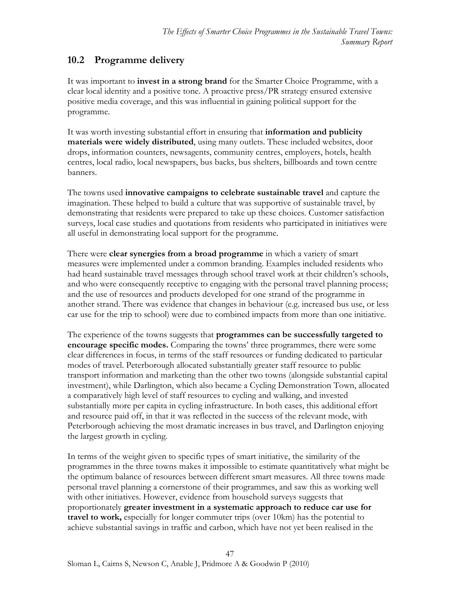# <span id="page-46-0"></span>**10.2 Programme delivery**

It was important to **invest in a strong brand** for the Smarter Choice Programme, with a clear local identity and a positive tone. A proactive press/PR strategy ensured extensive positive media coverage, and this was influential in gaining political support for the programme.

It was worth investing substantial effort in ensuring that **information and publicity materials were widely distributed**, using many outlets. These included websites, door drops, information counters, newsagents, community centres, employers, hotels, health centres, local radio, local newspapers, bus backs, bus shelters, billboards and town centre banners.

The towns used **innovative campaigns to celebrate sustainable travel** and capture the imagination. These helped to build a culture that was supportive of sustainable travel, by demonstrating that residents were prepared to take up these choices. Customer satisfaction surveys, local case studies and quotations from residents who participated in initiatives were all useful in demonstrating local support for the programme.

There were **clear synergies from a broad programme** in which a variety of smart measures were implemented under a common branding. Examples included residents who had heard sustainable travel messages through school travel work at their children's schools, and who were consequently receptive to engaging with the personal travel planning process; and the use of resources and products developed for one strand of the programme in another strand. There was evidence that changes in behaviour (e.g. increased bus use, or less car use for the trip to school) were due to combined impacts from more than one initiative.

The experience of the towns suggests that **programmes can be successfully targeted to encourage specific modes.** Comparing the towns' three programmes, there were some clear differences in focus, in terms of the staff resources or funding dedicated to particular modes of travel. Peterborough allocated substantially greater staff resource to public transport information and marketing than the other two towns (alongside substantial capital investment), while Darlington, which also became a Cycling Demonstration Town, allocated a comparatively high level of staff resources to cycling and walking, and invested substantially more per capita in cycling infrastructure. In both cases, this additional effort and resource paid off, in that it was reflected in the success of the relevant mode, with Peterborough achieving the most dramatic increases in bus travel, and Darlington enjoying the largest growth in cycling.

In terms of the weight given to specific types of smart initiative, the similarity of the programmes in the three towns makes it impossible to estimate quantitatively what might be the optimum balance of resources between different smart measures. All three towns made personal travel planning a cornerstone of their programmes, and saw this as working well with other initiatives. However, evidence from household surveys suggests that proportionately **greater investment in a systematic approach to reduce car use for travel to work,** especially for longer commuter trips (over 10km) has the potential to achieve substantial savings in traffic and carbon, which have not yet been realised in the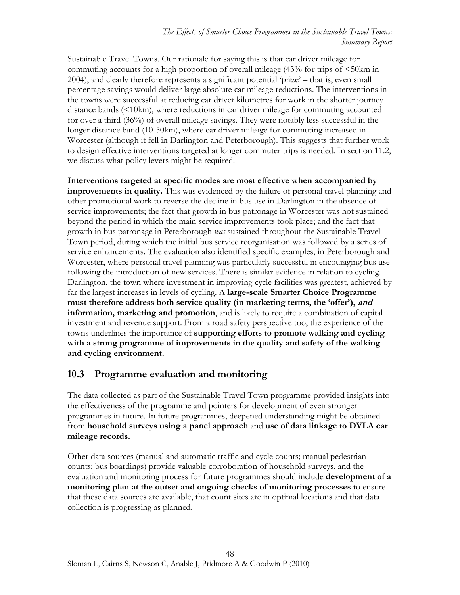Sustainable Travel Towns. Our rationale for saying this is that car driver mileage for commuting accounts for a high proportion of overall mileage (43% for trips of <50km in 2004), and clearly therefore represents a significant potential 'prize' – that is, even small percentage savings would deliver large absolute car mileage reductions. The interventions in the towns were successful at reducing car driver kilometres for work in the shorter journey distance bands (<10km), where reductions in car driver mileage for commuting accounted for over a third (36%) of overall mileage savings. They were notably less successful in the longer distance band (10-50km), where car driver mileage for commuting increased in Worcester (although it fell in Darlington and Peterborough). This suggests that further work to design effective interventions targeted at longer commuter trips is needed. In section 11.2, we discuss what policy levers might be required.

**Interventions targeted at specific modes are most effective when accompanied by improvements in quality.** This was evidenced by the failure of personal travel planning and other promotional work to reverse the decline in bus use in Darlington in the absence of service improvements; the fact that growth in bus patronage in Worcester was not sustained beyond the period in which the main service improvements took place; and the fact that growth in bus patronage in Peterborough *was* sustained throughout the Sustainable Travel Town period, during which the initial bus service reorganisation was followed by a series of service enhancements. The evaluation also identified specific examples, in Peterborough and Worcester, where personal travel planning was particularly successful in encouraging bus use following the introduction of new services. There is similar evidence in relation to cycling. Darlington, the town where investment in improving cycle facilities was greatest, achieved by far the largest increases in levels of cycling. A **large-scale Smarter Choice Programme must therefore address both service quality (in marketing terms, the 'offer'), and information, marketing and promotion**, and is likely to require a combination of capital investment and revenue support. From a road safety perspective too, the experience of the towns underlines the importance of **supporting efforts to promote walking and cycling with a strong programme of improvements in the quality and safety of the walking and cycling environment.** 

### <span id="page-47-0"></span>**10.3 Programme evaluation and monitoring**

The data collected as part of the Sustainable Travel Town programme provided insights into the effectiveness of the programme and pointers for development of even stronger programmes in future. In future programmes, deepened understanding might be obtained from **household surveys using a panel approach** and **use of data linkage to DVLA car mileage records.** 

Other data sources (manual and automatic traffic and cycle counts; manual pedestrian counts; bus boardings) provide valuable corroboration of household surveys, and the evaluation and monitoring process for future programmes should include **development of a monitoring plan at the outset and ongoing checks of monitoring processes** to ensure that these data sources are available, that count sites are in optimal locations and that data collection is progressing as planned.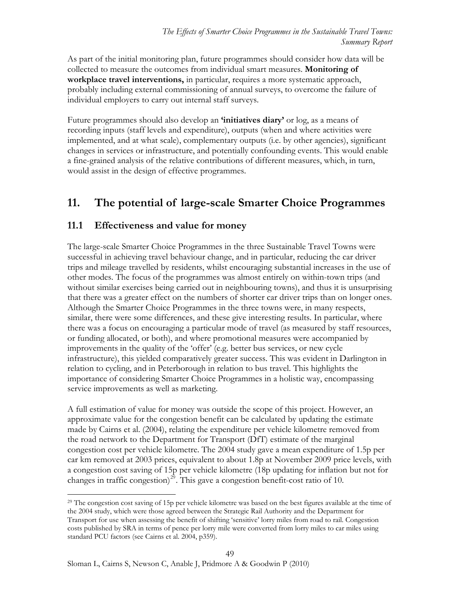As part of the initial monitoring plan, future programmes should consider how data will be collected to measure the outcomes from individual smart measures. **Monitoring of workplace travel interventions,** in particular, requires a more systematic approach, probably including external commissioning of annual surveys, to overcome the failure of individual employers to carry out internal staff surveys.

Future programmes should also develop an **'initiatives diary'** or log, as a means of recording inputs (staff levels and expenditure), outputs (when and where activities were implemented, and at what scale), complementary outputs (i.e. by other agencies), significant changes in services or infrastructure, and potentially confounding events. This would enable a fine-grained analysis of the relative contributions of different measures, which, in turn, would assist in the design of effective programmes.

# <span id="page-48-0"></span>**11. The potential of large-scale Smarter Choice Programmes**

### <span id="page-48-1"></span>**11.1 Effectiveness and value for money**

The large-scale Smarter Choice Programmes in the three Sustainable Travel Towns were successful in achieving travel behaviour change, and in particular, reducing the car driver trips and mileage travelled by residents, whilst encouraging substantial increases in the use of other modes. The focus of the programmes was almost entirely on within-town trips (and without similar exercises being carried out in neighbouring towns), and thus it is unsurprising that there was a greater effect on the numbers of shorter car driver trips than on longer ones. Although the Smarter Choice Programmes in the three towns were, in many respects, similar, there were some differences, and these give interesting results. In particular, where there was a focus on encouraging a particular mode of travel (as measured by staff resources, or funding allocated, or both), and where promotional measures were accompanied by improvements in the quality of the 'offer' (e.g. better bus services, or new cycle infrastructure), this yielded comparatively greater success. This was evident in Darlington in relation to cycling, and in Peterborough in relation to bus travel. This highlights the importance of considering Smarter Choice Programmes in a holistic way, encompassing service improvements as well as marketing.

A full estimation of value for money was outside the scope of this project. However, an approximate value for the congestion benefit can be calculated by updating the estimate made by Cairns et al. (2004), relating the expenditure per vehicle kilometre removed from the road network to the Department for Transport (DfT) estimate of the marginal congestion cost per vehicle kilometre. The 2004 study gave a mean expenditure of 1.5p per car km removed at 2003 prices, equivalent to about 1.8p at November 2009 price levels, with a congestion cost saving of 15p per vehicle kilometre (18p updating for inflation but not for changes in traffic congestion)<sup>[29](#page-48-2)</sup>. This gave a congestion benefit-cost ratio of 10.

<span id="page-48-2"></span><sup>&</sup>lt;sup>29</sup> The congestion cost saving of 15p per vehicle kilometre was based on the best figures available at the time of the 2004 study, which were those agreed between the Strategic Rail Authority and the Department for Transport for use when assessing the benefit of shifting 'sensitive' lorry miles from road to rail. Congestion costs published by SRA in terms of pence per lorry mile were converted from lorry miles to car miles using standard PCU factors (see Cairns et al. 2004, p359).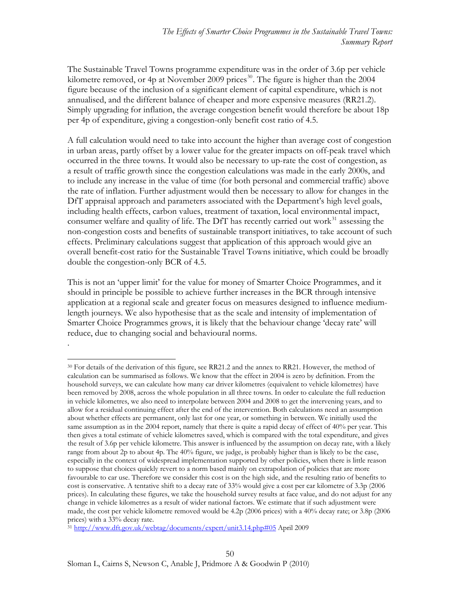The Sustainable Travel Towns programme expenditure was in the order of 3.6p per vehicle kilometre removed, or 4p at November 2009 prices<sup>[30](#page-49-0)</sup>. The figure is higher than the 2004 figure because of the inclusion of a significant element of capital expenditure, which is not annualised, and the different balance of cheaper and more expensive measures (RR21.2). Simply upgrading for inflation, the average congestion benefit would therefore be about 18p per 4p of expenditure, giving a congestion-only benefit cost ratio of 4.5.

A full calculation would need to take into account the higher than average cost of congestion in urban areas, partly offset by a lower value for the greater impacts on off-peak travel which occurred in the three towns. It would also be necessary to up-rate the cost of congestion, as a result of traffic growth since the congestion calculations was made in the early 2000s, and to include any increase in the value of time (for both personal and commercial traffic) above the rate of inflation. Further adjustment would then be necessary to allow for changes in the DfT appraisal approach and parameters associated with the Department's high level goals, including health effects, carbon values, treatment of taxation, local environmental impact, consumer welfare and quality of life. The DfT has recently carried out work $31$  assessing the non-congestion costs and benefits of sustainable transport initiatives, to take account of such effects. Preliminary calculations suggest that application of this approach would give an overall benefit-cost ratio for the Sustainable Travel Towns initiative, which could be broadly double the congestion-only BCR of 4.5.

This is not an 'upper limit' for the value for money of Smarter Choice Programmes, and it should in principle be possible to achieve further increases in the BCR through intensive application at a regional scale and greater focus on measures designed to influence mediumlength journeys. We also hypothesise that as the scale and intensity of implementation of Smarter Choice Programmes grows, it is likely that the behaviour change 'decay rate' will reduce, due to changing social and behavioural norms.

.

<span id="page-49-0"></span> $\overline{a}$ <sup>30</sup> For details of the derivation of this figure, see RR21.2 and the annex to RR21. However, the method of calculation can be summarised as follows. We know that the effect in 2004 is zero by definition. From the household surveys, we can calculate how many car driver kilometres (equivalent to vehicle kilometres) have been removed by 2008, across the whole population in all three towns. In order to calculate the full reduction in vehicle kilometres, we also need to interpolate between 2004 and 2008 to get the intervening years, and to allow for a residual continuing effect after the end of the intervention. Both calculations need an assumption about whether effects are permanent, only last for one year, or something in between. We initially used the same assumption as in the 2004 report, namely that there is quite a rapid decay of effect of 40% per year. This then gives a total estimate of vehicle kilometres saved, which is compared with the total expenditure, and gives the result of 3.6p per vehicle kilometre. This answer is influenced by the assumption on decay rate, with a likely range from about 2p to about 4p. The 40% figure, we judge, is probably higher than is likely to be the case, especially in the context of widespread implementation supported by other policies, when there is little reason to suppose that choices quickly revert to a norm based mainly on extrapolation of policies that are more favourable to car use. Therefore we consider this cost is on the high side, and the resulting ratio of benefits to cost is conservative. A tentative shift to a decay rate of 33% would give a cost per car kilometre of 3.3p (2006 prices). In calculating these figures, we take the household survey results at face value, and do not adjust for any change in vehicle kilometres as a result of wider national factors. We estimate that if such adjustment were made, the cost per vehicle kilometre removed would be 4.2p (2006 prices) with a 40% decay rate; or 3.8p (2006 prices) with a 33% decay rate.

<span id="page-49-1"></span><sup>31</sup> <http://www.dft.gov.uk/webtag/documents/expert/unit3.14.php#05>April 2009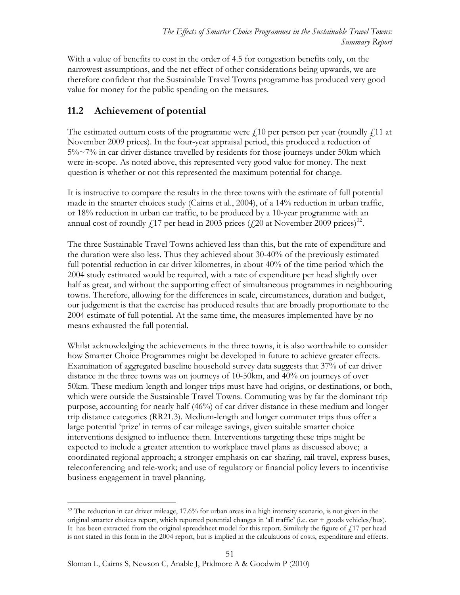With a value of benefits to cost in the order of 4.5 for congestion benefits only, on the narrowest assumptions, and the net effect of other considerations being upwards, we are therefore confident that the Sustainable Travel Towns programme has produced very good value for money for the public spending on the measures.

# <span id="page-50-0"></span>**11.2 Achievement of potential**

The estimated outturn costs of the programme were  $f(10)$  per person per year (roundly  $f(11)$  at November 2009 prices). In the four-year appraisal period, this produced a reduction of 5%~7% in car driver distance travelled by residents for those journeys under 50km which were in-scope. As noted above, this represented very good value for money. The next question is whether or not this represented the maximum potential for change.

It is instructive to compare the results in the three towns with the estimate of full potential made in the smarter choices study (Cairns et al., 2004), of a 14% reduction in urban traffic, or 18% reduction in urban car traffic, to be produced by a 10-year programme with an annual cost of roundly  $f_{17}$  per head in 2003 prices ( $f_{20}$  at November 2009 prices)<sup>[32](#page-50-1)</sup>.

The three Sustainable Travel Towns achieved less than this, but the rate of expenditure and the duration were also less. Thus they achieved about 30-40% of the previously estimated full potential reduction in car driver kilometres, in about 40% of the time period which the 2004 study estimated would be required, with a rate of expenditure per head slightly over half as great, and without the supporting effect of simultaneous programmes in neighbouring towns. Therefore, allowing for the differences in scale, circumstances, duration and budget, our judgement is that the exercise has produced results that are broadly proportionate to the 2004 estimate of full potential. At the same time, the measures implemented have by no means exhausted the full potential.

Whilst acknowledging the achievements in the three towns, it is also worthwhile to consider how Smarter Choice Programmes might be developed in future to achieve greater effects. Examination of aggregated baseline household survey data suggests that 37% of car driver distance in the three towns was on journeys of 10-50km, and 40% on journeys of over 50km. These medium-length and longer trips must have had origins, or destinations, or both, which were outside the Sustainable Travel Towns. Commuting was by far the dominant trip purpose, accounting for nearly half (46%) of car driver distance in these medium and longer trip distance categories (RR21.3). Medium-length and longer commuter trips thus offer a large potential 'prize' in terms of car mileage savings, given suitable smarter choice interventions designed to influence them. Interventions targeting these trips might be expected to include a greater attention to workplace travel plans as discussed above; a coordinated regional approach; a stronger emphasis on car-sharing, rail travel, express buses, teleconferencing and tele-work; and use of regulatory or financial policy levers to incentivise business engagement in travel planning.

<span id="page-50-1"></span> $\overline{a}$  $32$  The reduction in car driver mileage, 17.6% for urban areas in a high intensity scenario, is not given in the original smarter choices report, which reported potential changes in 'all traffic' (i.e. car + goods vehicles/bus). It has been extracted from the original spreadsheet model for this report. Similarly the figure of  $f<sub>1</sub>17$  per head is not stated in this form in the 2004 report, but is implied in the calculations of costs, expenditure and effects.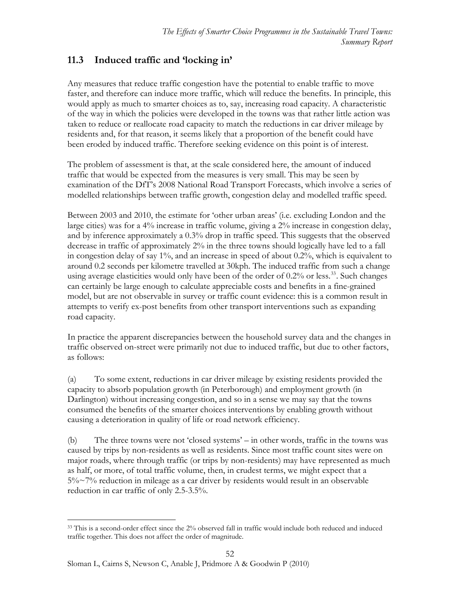# <span id="page-51-0"></span>**11.3 Induced traffic and 'locking in'**

Any measures that reduce traffic congestion have the potential to enable traffic to move faster, and therefore can induce more traffic, which will reduce the benefits. In principle, this would apply as much to smarter choices as to, say, increasing road capacity. A characteristic of the way in which the policies were developed in the towns was that rather little action was taken to reduce or reallocate road capacity to match the reductions in car driver mileage by residents and, for that reason, it seems likely that a proportion of the benefit could have been eroded by induced traffic. Therefore seeking evidence on this point is of interest.

The problem of assessment is that, at the scale considered here, the amount of induced traffic that would be expected from the measures is very small. This may be seen by examination of the DfT's 2008 National Road Transport Forecasts, which involve a series of modelled relationships between traffic growth, congestion delay and modelled traffic speed.

Between 2003 and 2010, the estimate for 'other urban areas' (i.e. excluding London and the large cities) was for a 4% increase in traffic volume, giving a 2% increase in congestion delay, and by inference approximately a 0.3% drop in traffic speed. This suggests that the observed decrease in traffic of approximately 2% in the three towns should logically have led to a fall in congestion delay of say 1%, and an increase in speed of about 0.2%, which is equivalent to around 0.2 seconds per kilometre travelled at 30kph. The induced traffic from such a change using average elasticities would only have been of the order of 0.2% or less.<sup>[33](#page-51-1)</sup>. Such changes can certainly be large enough to calculate appreciable costs and benefits in a fine-grained model, but are not observable in survey or traffic count evidence: this is a common result in attempts to verify ex-post benefits from other transport interventions such as expanding road capacity.

In practice the apparent discrepancies between the household survey data and the changes in traffic observed on-street were primarily not due to induced traffic, but due to other factors, as follows:

(a) To some extent, reductions in car driver mileage by existing residents provided the capacity to absorb population growth (in Peterborough) and employment growth (in Darlington) without increasing congestion, and so in a sense we may say that the towns consumed the benefits of the smarter choices interventions by enabling growth without causing a deterioration in quality of life or road network efficiency.

(b) The three towns were not 'closed systems' – in other words, traffic in the towns was caused by trips by non-residents as well as residents. Since most traffic count sites were on major roads, where through traffic (or trips by non-residents) may have represented as much as half, or more, of total traffic volume, then, in crudest terms, we might expect that a 5%~7% reduction in mileage as a car driver by residents would result in an observable reduction in car traffic of only 2.5-3.5%.

<span id="page-51-1"></span> $\overline{a}$ <sup>33</sup> This is a second-order effect since the 2% observed fall in traffic would include both reduced and induced traffic together. This does not affect the order of magnitude.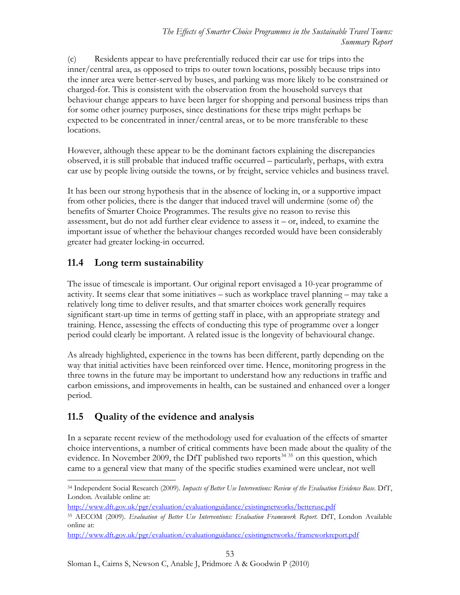(c) Residents appear to have preferentially reduced their car use for trips into the inner/central area, as opposed to trips to outer town locations, possibly because trips into the inner area were better-served by buses, and parking was more likely to be constrained or charged-for. This is consistent with the observation from the household surveys that behaviour change appears to have been larger for shopping and personal business trips than for some other journey purposes, since destinations for these trips might perhaps be expected to be concentrated in inner/central areas, or to be more transferable to these locations.

However, although these appear to be the dominant factors explaining the discrepancies observed, it is still probable that induced traffic occurred – particularly, perhaps, with extra car use by people living outside the towns, or by freight, service vehicles and business travel.

It has been our strong hypothesis that in the absence of locking in, or a supportive impact from other policies, there is the danger that induced travel will undermine (some of) the benefits of Smarter Choice Programmes. The results give no reason to revise this assessment, but do not add further clear evidence to assess it – or, indeed, to examine the important issue of whether the behaviour changes recorded would have been considerably greater had greater locking-in occurred.

# <span id="page-52-0"></span>**11.4 Long term sustainability**

The issue of timescale is important. Our original report envisaged a 10-year programme of activity. It seems clear that some initiatives – such as workplace travel planning – may take a relatively long time to deliver results, and that smarter choices work generally requires significant start-up time in terms of getting staff in place, with an appropriate strategy and training. Hence, assessing the effects of conducting this type of programme over a longer period could clearly be important. A related issue is the longevity of behavioural change.

As already highlighted, experience in the towns has been different, partly depending on the way that initial activities have been reinforced over time. Hence, monitoring progress in the three towns in the future may be important to understand how any reductions in traffic and carbon emissions, and improvements in health, can be sustained and enhanced over a longer period.

# <span id="page-52-1"></span>**11.5 Quality of the evidence and analysis**

In a separate recent review of the methodology used for evaluation of the effects of smarter choice interventions, a number of critical comments have been made about the quality of the evidence. In November 2009, the DfT published two reports<sup>[34](#page-52-2) [35](#page-52-3)</sup> on this question, which came to a general view that many of the specific studies examined were unclear, not well

<span id="page-52-2"></span> $\overline{a}$ 34 Independent Social Research (2009). *Impacts of Better Use Interventions: Review of the Evaluation Evidence Base*. DfT, London. Available online at:

<http://www.dft.gov.uk/pgr/evaluation/evaluationguidance/existingnetworks/betteruse.pdf>

<span id="page-52-3"></span><sup>35</sup> AECOM (2009). *Evaluation of Better Use Interventions: Evaluation Framework Report*. DfT, London Available online at:

<http://www.dft.gov.uk/pgr/evaluation/evaluationguidance/existingnetworks/frameworkreport.pdf>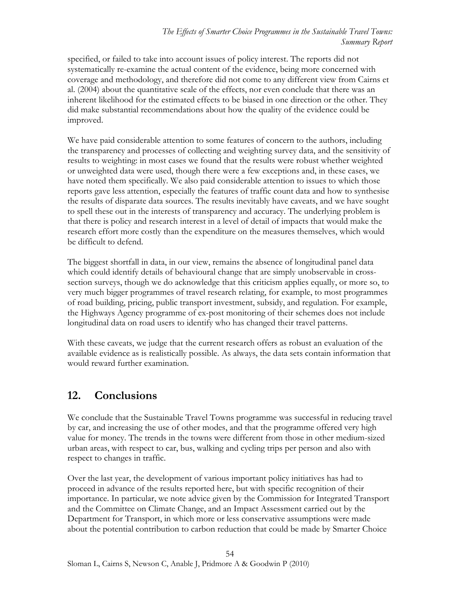specified, or failed to take into account issues of policy interest. The reports did not systematically re-examine the actual content of the evidence, being more concerned with coverage and methodology, and therefore did not come to any different view from Cairns et al. (2004) about the quantitative scale of the effects, nor even conclude that there was an inherent likelihood for the estimated effects to be biased in one direction or the other. They did make substantial recommendations about how the quality of the evidence could be improved.

We have paid considerable attention to some features of concern to the authors, including the transparency and processes of collecting and weighting survey data, and the sensitivity of results to weighting: in most cases we found that the results were robust whether weighted or unweighted data were used, though there were a few exceptions and, in these cases, we have noted them specifically. We also paid considerable attention to issues to which those reports gave less attention, especially the features of traffic count data and how to synthesise the results of disparate data sources. The results inevitably have caveats, and we have sought to spell these out in the interests of transparency and accuracy. The underlying problem is that there is policy and research interest in a level of detail of impacts that would make the research effort more costly than the expenditure on the measures themselves, which would be difficult to defend.

The biggest shortfall in data, in our view, remains the absence of longitudinal panel data which could identify details of behavioural change that are simply unobservable in crosssection surveys, though we do acknowledge that this criticism applies equally, or more so, to very much bigger programmes of travel research relating, for example, to most programmes of road building, pricing, public transport investment, subsidy, and regulation. For example, the Highways Agency programme of ex-post monitoring of their schemes does not include longitudinal data on road users to identify who has changed their travel patterns.

With these caveats, we judge that the current research offers as robust an evaluation of the available evidence as is realistically possible. As always, the data sets contain information that would reward further examination.

# <span id="page-53-0"></span>**12. Conclusions**

We conclude that the Sustainable Travel Towns programme was successful in reducing travel by car, and increasing the use of other modes, and that the programme offered very high value for money. The trends in the towns were different from those in other medium-sized urban areas, with respect to car, bus, walking and cycling trips per person and also with respect to changes in traffic.

Over the last year, the development of various important policy initiatives has had to proceed in advance of the results reported here, but with specific recognition of their importance. In particular, we note advice given by the Commission for Integrated Transport and the Committee on Climate Change, and an Impact Assessment carried out by the Department for Transport, in which more or less conservative assumptions were made about the potential contribution to carbon reduction that could be made by Smarter Choice